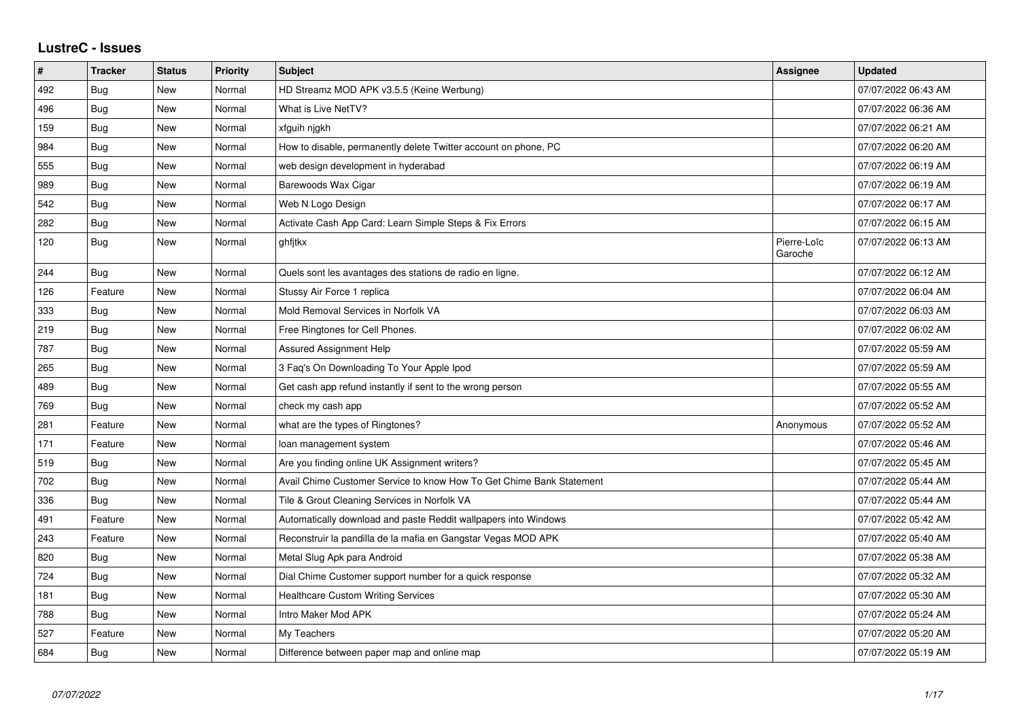## **LustreC - Issues**

| $\pmb{\#}$ | <b>Tracker</b> | <b>Status</b> | <b>Priority</b> | <b>Subject</b>                                                       | <b>Assignee</b>        | <b>Updated</b>      |
|------------|----------------|---------------|-----------------|----------------------------------------------------------------------|------------------------|---------------------|
| 492        | Bug            | New           | Normal          | HD Streamz MOD APK v3.5.5 (Keine Werbung)                            |                        | 07/07/2022 06:43 AM |
| 496        | <b>Bug</b>     | New           | Normal          | What is Live NetTV?                                                  |                        | 07/07/2022 06:36 AM |
| 159        | <b>Bug</b>     | <b>New</b>    | Normal          | xfguih njgkh                                                         |                        | 07/07/2022 06:21 AM |
| 984        | <b>Bug</b>     | <b>New</b>    | Normal          | How to disable, permanently delete Twitter account on phone, PC      |                        | 07/07/2022 06:20 AM |
| 555        | Bug            | New           | Normal          | web design development in hyderabad                                  |                        | 07/07/2022 06:19 AM |
| 989        | <b>Bug</b>     | <b>New</b>    | Normal          | Barewoods Wax Cigar                                                  |                        | 07/07/2022 06:19 AM |
| 542        | <b>Bug</b>     | New           | Normal          | Web N Logo Design                                                    |                        | 07/07/2022 06:17 AM |
| 282        | <b>Bug</b>     | New           | Normal          | Activate Cash App Card: Learn Simple Steps & Fix Errors              |                        | 07/07/2022 06:15 AM |
| 120        | <b>Bug</b>     | <b>New</b>    | Normal          | ghfjtkx                                                              | Pierre-Loïc<br>Garoche | 07/07/2022 06:13 AM |
| 244        | <b>Bug</b>     | <b>New</b>    | Normal          | Quels sont les avantages des stations de radio en ligne.             |                        | 07/07/2022 06:12 AM |
| 126        | Feature        | <b>New</b>    | Normal          | Stussy Air Force 1 replica                                           |                        | 07/07/2022 06:04 AM |
| 333        | Bug            | New           | Normal          | Mold Removal Services in Norfolk VA                                  |                        | 07/07/2022 06:03 AM |
| 219        | <b>Bug</b>     | <b>New</b>    | Normal          | Free Ringtones for Cell Phones.                                      |                        | 07/07/2022 06:02 AM |
| 787        | Bug            | <b>New</b>    | Normal          | Assured Assignment Help                                              |                        | 07/07/2022 05:59 AM |
| 265        | Bug            | New           | Normal          | 3 Faq's On Downloading To Your Apple Ipod                            |                        | 07/07/2022 05:59 AM |
| 489        | <b>Bug</b>     | New           | Normal          | Get cash app refund instantly if sent to the wrong person            |                        | 07/07/2022 05:55 AM |
| 769        | <b>Bug</b>     | <b>New</b>    | Normal          | check my cash app                                                    |                        | 07/07/2022 05:52 AM |
| 281        | Feature        | <b>New</b>    | Normal          | what are the types of Ringtones?                                     | Anonymous              | 07/07/2022 05:52 AM |
| 171        | Feature        | New           | Normal          | loan management system                                               |                        | 07/07/2022 05:46 AM |
| 519        | Bug            | New           | Normal          | Are you finding online UK Assignment writers?                        |                        | 07/07/2022 05:45 AM |
| 702        | <b>Bug</b>     | New           | Normal          | Avail Chime Customer Service to know How To Get Chime Bank Statement |                        | 07/07/2022 05:44 AM |
| 336        | <b>Bug</b>     | <b>New</b>    | Normal          | Tile & Grout Cleaning Services in Norfolk VA                         |                        | 07/07/2022 05:44 AM |
| 491        | Feature        | <b>New</b>    | Normal          | Automatically download and paste Reddit wallpapers into Windows      |                        | 07/07/2022 05:42 AM |
| 243        | Feature        | <b>New</b>    | Normal          | Reconstruir la pandilla de la mafia en Gangstar Vegas MOD APK        |                        | 07/07/2022 05:40 AM |
| 820        | Bug            | New           | Normal          | Metal Slug Apk para Android                                          |                        | 07/07/2022 05:38 AM |
| 724        | Bug            | <b>New</b>    | Normal          | Dial Chime Customer support number for a quick response              |                        | 07/07/2022 05:32 AM |
| 181        | <b>Bug</b>     | New           | Normal          | <b>Healthcare Custom Writing Services</b>                            |                        | 07/07/2022 05:30 AM |
| 788        | Bug            | New           | Normal          | Intro Maker Mod APK                                                  |                        | 07/07/2022 05:24 AM |
| 527        | Feature        | <b>New</b>    | Normal          | My Teachers                                                          |                        | 07/07/2022 05:20 AM |
| 684        | Bug            | <b>New</b>    | Normal          | Difference between paper map and online map                          |                        | 07/07/2022 05:19 AM |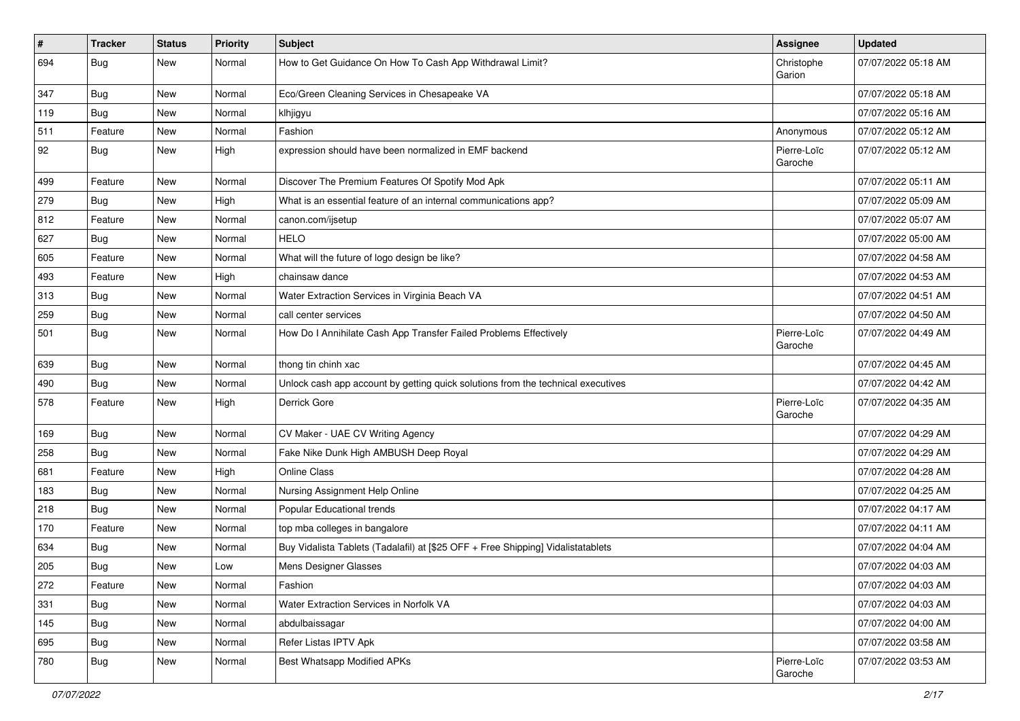| $\vert$ # | <b>Tracker</b> | <b>Status</b> | <b>Priority</b> | Subject                                                                          | <b>Assignee</b>        | <b>Updated</b>      |
|-----------|----------------|---------------|-----------------|----------------------------------------------------------------------------------|------------------------|---------------------|
| 694       | Bug            | New           | Normal          | How to Get Guidance On How To Cash App Withdrawal Limit?                         | Christophe<br>Garion   | 07/07/2022 05:18 AM |
| 347       | Bug            | New           | Normal          | Eco/Green Cleaning Services in Chesapeake VA                                     |                        | 07/07/2022 05:18 AM |
| 119       | <b>Bug</b>     | New           | Normal          | klhjigyu                                                                         |                        | 07/07/2022 05:16 AM |
| 511       | Feature        | New           | Normal          | Fashion                                                                          | Anonymous              | 07/07/2022 05:12 AM |
| 92        | <b>Bug</b>     | New           | High            | expression should have been normalized in EMF backend                            | Pierre-Loïc<br>Garoche | 07/07/2022 05:12 AM |
| 499       | Feature        | <b>New</b>    | Normal          | Discover The Premium Features Of Spotify Mod Apk                                 |                        | 07/07/2022 05:11 AM |
| 279       | Bug            | New           | High            | What is an essential feature of an internal communications app?                  |                        | 07/07/2022 05:09 AM |
| 812       | Feature        | New           | Normal          | canon.com/ijsetup                                                                |                        | 07/07/2022 05:07 AM |
| 627       | Bug            | New           | Normal          | <b>HELO</b>                                                                      |                        | 07/07/2022 05:00 AM |
| 605       | Feature        | New           | Normal          | What will the future of logo design be like?                                     |                        | 07/07/2022 04:58 AM |
| 493       | Feature        | New           | High            | chainsaw dance                                                                   |                        | 07/07/2022 04:53 AM |
| 313       | <b>Bug</b>     | New           | Normal          | Water Extraction Services in Virginia Beach VA                                   |                        | 07/07/2022 04:51 AM |
| 259       | <b>Bug</b>     | New           | Normal          | call center services                                                             |                        | 07/07/2022 04:50 AM |
| 501       | <b>Bug</b>     | New           | Normal          | How Do I Annihilate Cash App Transfer Failed Problems Effectively                | Pierre-Loïc<br>Garoche | 07/07/2022 04:49 AM |
| 639       | <b>Bug</b>     | New           | Normal          | thong tin chinh xac                                                              |                        | 07/07/2022 04:45 AM |
| 490       | <b>Bug</b>     | New           | Normal          | Unlock cash app account by getting quick solutions from the technical executives |                        | 07/07/2022 04:42 AM |
| 578       | Feature        | New           | High            | Derrick Gore                                                                     | Pierre-Loïc<br>Garoche | 07/07/2022 04:35 AM |
| 169       | Bug            | New           | Normal          | CV Maker - UAE CV Writing Agency                                                 |                        | 07/07/2022 04:29 AM |
| 258       | <b>Bug</b>     | New           | Normal          | Fake Nike Dunk High AMBUSH Deep Royal                                            |                        | 07/07/2022 04:29 AM |
| 681       | Feature        | New           | High            | Online Class                                                                     |                        | 07/07/2022 04:28 AM |
| 183       | <b>Bug</b>     | New           | Normal          | Nursing Assignment Help Online                                                   |                        | 07/07/2022 04:25 AM |
| 218       | Bug            | New           | Normal          | Popular Educational trends                                                       |                        | 07/07/2022 04:17 AM |
| 170       | Feature        | New           | Normal          | top mba colleges in bangalore                                                    |                        | 07/07/2022 04:11 AM |
| 634       | <b>Bug</b>     | New           | Normal          | Buy Vidalista Tablets (Tadalafil) at [\$25 OFF + Free Shipping] Vidalistatablets |                        | 07/07/2022 04:04 AM |
| 205       | <b>Bug</b>     | New           | Low             | Mens Designer Glasses                                                            |                        | 07/07/2022 04:03 AM |
| 272       | Feature        | New           | Normal          | Fashion                                                                          |                        | 07/07/2022 04:03 AM |
| 331       | <b>Bug</b>     | New           | Normal          | Water Extraction Services in Norfolk VA                                          |                        | 07/07/2022 04:03 AM |
| 145       | Bug            | New           | Normal          | abdulbaissagar                                                                   |                        | 07/07/2022 04:00 AM |
| 695       | <b>Bug</b>     | New           | Normal          | Refer Listas IPTV Apk                                                            |                        | 07/07/2022 03:58 AM |
| 780       | <b>Bug</b>     | New           | Normal          | Best Whatsapp Modified APKs                                                      | Pierre-Loïc<br>Garoche | 07/07/2022 03:53 AM |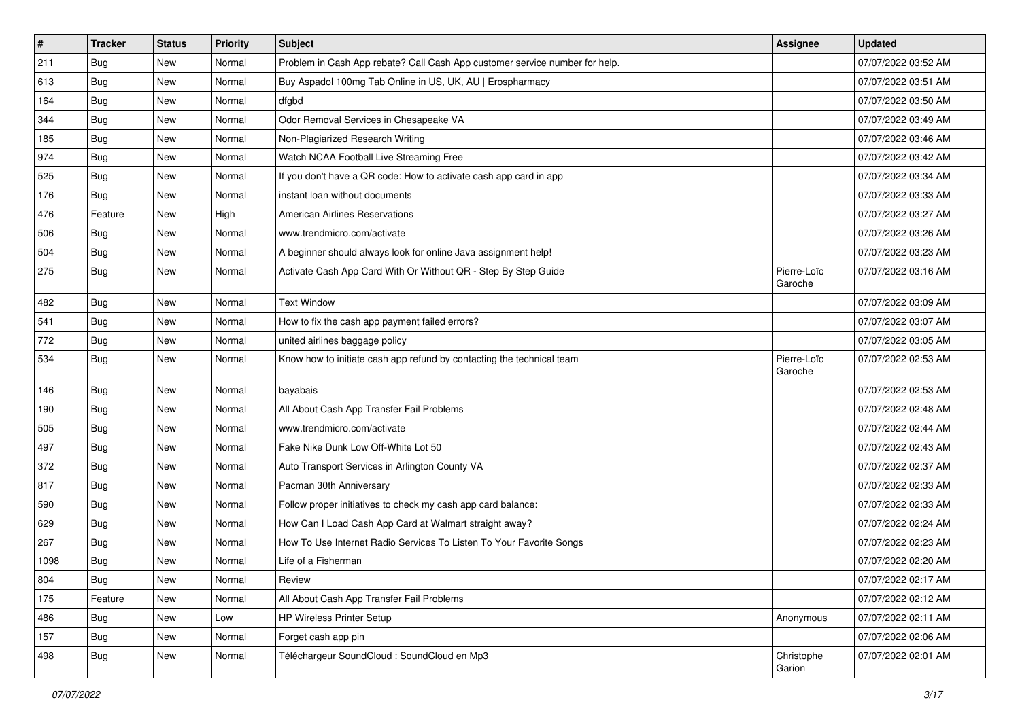| #    | <b>Tracker</b> | <b>Status</b> | <b>Priority</b> | Subject                                                                     | Assignee               | <b>Updated</b>      |
|------|----------------|---------------|-----------------|-----------------------------------------------------------------------------|------------------------|---------------------|
| 211  | <b>Bug</b>     | New           | Normal          | Problem in Cash App rebate? Call Cash App customer service number for help. |                        | 07/07/2022 03:52 AM |
| 613  | Bug            | New           | Normal          | Buy Aspadol 100mg Tab Online in US, UK, AU   Erospharmacy                   |                        | 07/07/2022 03:51 AM |
| 164  | Bug            | New           | Normal          | dfgbd                                                                       |                        | 07/07/2022 03:50 AM |
| 344  | <b>Bug</b>     | New           | Normal          | Odor Removal Services in Chesapeake VA                                      |                        | 07/07/2022 03:49 AM |
| 185  | <b>Bug</b>     | New           | Normal          | Non-Plagiarized Research Writing                                            |                        | 07/07/2022 03:46 AM |
| 974  | <b>Bug</b>     | New           | Normal          | Watch NCAA Football Live Streaming Free                                     |                        | 07/07/2022 03:42 AM |
| 525  | <b>Bug</b>     | New           | Normal          | If you don't have a QR code: How to activate cash app card in app           |                        | 07/07/2022 03:34 AM |
| 176  | Bug            | New           | Normal          | instant loan without documents                                              |                        | 07/07/2022 03:33 AM |
| 476  | Feature        | New           | High            | <b>American Airlines Reservations</b>                                       |                        | 07/07/2022 03:27 AM |
| 506  | Bug            | New           | Normal          | www.trendmicro.com/activate                                                 |                        | 07/07/2022 03:26 AM |
| 504  | Bug            | New           | Normal          | A beginner should always look for online Java assignment help!              |                        | 07/07/2022 03:23 AM |
| 275  | <b>Bug</b>     | New           | Normal          | Activate Cash App Card With Or Without QR - Step By Step Guide              | Pierre-Loïc<br>Garoche | 07/07/2022 03:16 AM |
| 482  | Bug            | New           | Normal          | <b>Text Window</b>                                                          |                        | 07/07/2022 03:09 AM |
| 541  | Bug            | New           | Normal          | How to fix the cash app payment failed errors?                              |                        | 07/07/2022 03:07 AM |
| 772  | <b>Bug</b>     | New           | Normal          | united airlines baggage policy                                              |                        | 07/07/2022 03:05 AM |
| 534  | <b>Bug</b>     | New           | Normal          | Know how to initiate cash app refund by contacting the technical team       | Pierre-Loïc<br>Garoche | 07/07/2022 02:53 AM |
| 146  | Bug            | New           | Normal          | bayabais                                                                    |                        | 07/07/2022 02:53 AM |
| 190  | <b>Bug</b>     | New           | Normal          | All About Cash App Transfer Fail Problems                                   |                        | 07/07/2022 02:48 AM |
| 505  | <b>Bug</b>     | New           | Normal          | www.trendmicro.com/activate                                                 |                        | 07/07/2022 02:44 AM |
| 497  | <b>Bug</b>     | New           | Normal          | Fake Nike Dunk Low Off-White Lot 50                                         |                        | 07/07/2022 02:43 AM |
| 372  | <b>Bug</b>     | New           | Normal          | Auto Transport Services in Arlington County VA                              |                        | 07/07/2022 02:37 AM |
| 817  | Bug            | New           | Normal          | Pacman 30th Anniversary                                                     |                        | 07/07/2022 02:33 AM |
| 590  | <b>Bug</b>     | New           | Normal          | Follow proper initiatives to check my cash app card balance:                |                        | 07/07/2022 02:33 AM |
| 629  | <b>Bug</b>     | New           | Normal          | How Can I Load Cash App Card at Walmart straight away?                      |                        | 07/07/2022 02:24 AM |
| 267  | <b>Bug</b>     | New           | Normal          | How To Use Internet Radio Services To Listen To Your Favorite Songs         |                        | 07/07/2022 02:23 AM |
| 1098 | <b>Bug</b>     | New           | Normal          | Life of a Fisherman                                                         |                        | 07/07/2022 02:20 AM |
| 804  | <b>Bug</b>     | New           | Normal          | Review                                                                      |                        | 07/07/2022 02:17 AM |
| 175  | Feature        | New           | Normal          | All About Cash App Transfer Fail Problems                                   |                        | 07/07/2022 02:12 AM |
| 486  | Bug            | New           | Low             | HP Wireless Printer Setup                                                   | Anonymous              | 07/07/2022 02:11 AM |
| 157  | <b>Bug</b>     | New           | Normal          | Forget cash app pin                                                         |                        | 07/07/2022 02:06 AM |
| 498  | <b>Bug</b>     | New           | Normal          | Téléchargeur SoundCloud : SoundCloud en Mp3                                 | Christophe<br>Garion   | 07/07/2022 02:01 AM |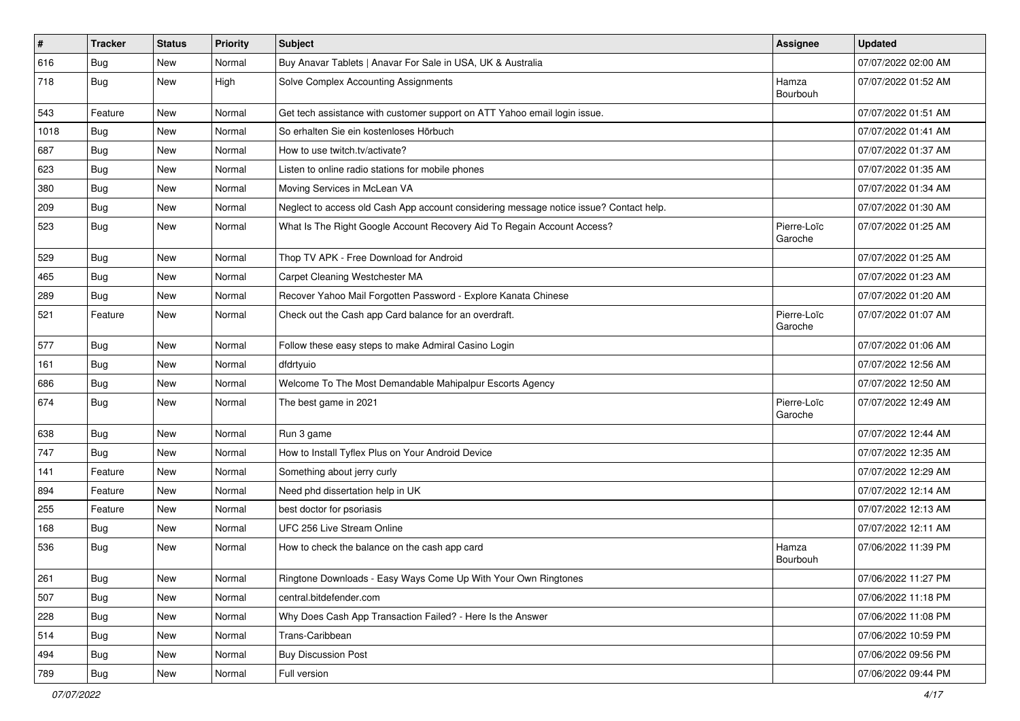| $\vert$ # | <b>Tracker</b> | <b>Status</b> | <b>Priority</b> | Subject                                                                                | Assignee               | <b>Updated</b>      |
|-----------|----------------|---------------|-----------------|----------------------------------------------------------------------------------------|------------------------|---------------------|
| 616       | <b>Bug</b>     | New           | Normal          | Buy Anavar Tablets   Anavar For Sale in USA, UK & Australia                            |                        | 07/07/2022 02:00 AM |
| 718       | <b>Bug</b>     | New           | High            | Solve Complex Accounting Assignments                                                   | Hamza<br>Bourbouh      | 07/07/2022 01:52 AM |
| 543       | Feature        | New           | Normal          | Get tech assistance with customer support on ATT Yahoo email login issue.              |                        | 07/07/2022 01:51 AM |
| 1018      | <b>Bug</b>     | New           | Normal          | So erhalten Sie ein kostenloses Hörbuch                                                |                        | 07/07/2022 01:41 AM |
| 687       | Bug            | New           | Normal          | How to use twitch.tv/activate?                                                         |                        | 07/07/2022 01:37 AM |
| 623       | <b>Bug</b>     | New           | Normal          | Listen to online radio stations for mobile phones                                      |                        | 07/07/2022 01:35 AM |
| 380       | Bug            | New           | Normal          | Moving Services in McLean VA                                                           |                        | 07/07/2022 01:34 AM |
| 209       | <b>Bug</b>     | New           | Normal          | Neglect to access old Cash App account considering message notice issue? Contact help. |                        | 07/07/2022 01:30 AM |
| 523       | <b>Bug</b>     | New           | Normal          | What Is The Right Google Account Recovery Aid To Regain Account Access?                | Pierre-Loïc<br>Garoche | 07/07/2022 01:25 AM |
| 529       | <b>Bug</b>     | <b>New</b>    | Normal          | Thop TV APK - Free Download for Android                                                |                        | 07/07/2022 01:25 AM |
| 465       | Bug            | New           | Normal          | Carpet Cleaning Westchester MA                                                         |                        | 07/07/2022 01:23 AM |
| 289       | <b>Bug</b>     | New           | Normal          | Recover Yahoo Mail Forgotten Password - Explore Kanata Chinese                         |                        | 07/07/2022 01:20 AM |
| 521       | Feature        | New           | Normal          | Check out the Cash app Card balance for an overdraft.                                  | Pierre-Loïc<br>Garoche | 07/07/2022 01:07 AM |
| 577       | Bug            | New           | Normal          | Follow these easy steps to make Admiral Casino Login                                   |                        | 07/07/2022 01:06 AM |
| 161       | Bug            | New           | Normal          | dfdrtyuio                                                                              |                        | 07/07/2022 12:56 AM |
| 686       | <b>Bug</b>     | New           | Normal          | Welcome To The Most Demandable Mahipalpur Escorts Agency                               |                        | 07/07/2022 12:50 AM |
| 674       | <b>Bug</b>     | New           | Normal          | The best game in 2021                                                                  | Pierre-Loïc<br>Garoche | 07/07/2022 12:49 AM |
| 638       | Bug            | New           | Normal          | Run 3 game                                                                             |                        | 07/07/2022 12:44 AM |
| 747       | Bug            | New           | Normal          | How to Install Tyflex Plus on Your Android Device                                      |                        | 07/07/2022 12:35 AM |
| 141       | Feature        | New           | Normal          | Something about jerry curly                                                            |                        | 07/07/2022 12:29 AM |
| 894       | Feature        | New           | Normal          | Need phd dissertation help in UK                                                       |                        | 07/07/2022 12:14 AM |
| 255       | Feature        | New           | Normal          | best doctor for psoriasis                                                              |                        | 07/07/2022 12:13 AM |
| 168       | <b>Bug</b>     | New           | Normal          | UFC 256 Live Stream Online                                                             |                        | 07/07/2022 12:11 AM |
| 536       | <b>Bug</b>     | New           | Normal          | How to check the balance on the cash app card                                          | Hamza<br>Bourbouh      | 07/06/2022 11:39 PM |
| 261       | Bug            | New           | Normal          | Ringtone Downloads - Easy Ways Come Up With Your Own Ringtones                         |                        | 07/06/2022 11:27 PM |
| 507       | <b>Bug</b>     | New           | Normal          | central.bitdefender.com                                                                |                        | 07/06/2022 11:18 PM |
| 228       | <b>Bug</b>     | New           | Normal          | Why Does Cash App Transaction Failed? - Here Is the Answer                             |                        | 07/06/2022 11:08 PM |
| 514       | <b>Bug</b>     | New           | Normal          | Trans-Caribbean                                                                        |                        | 07/06/2022 10:59 PM |
| 494       | Bug            | New           | Normal          | <b>Buy Discussion Post</b>                                                             |                        | 07/06/2022 09:56 PM |
| 789       | <b>Bug</b>     | New           | Normal          | Full version                                                                           |                        | 07/06/2022 09:44 PM |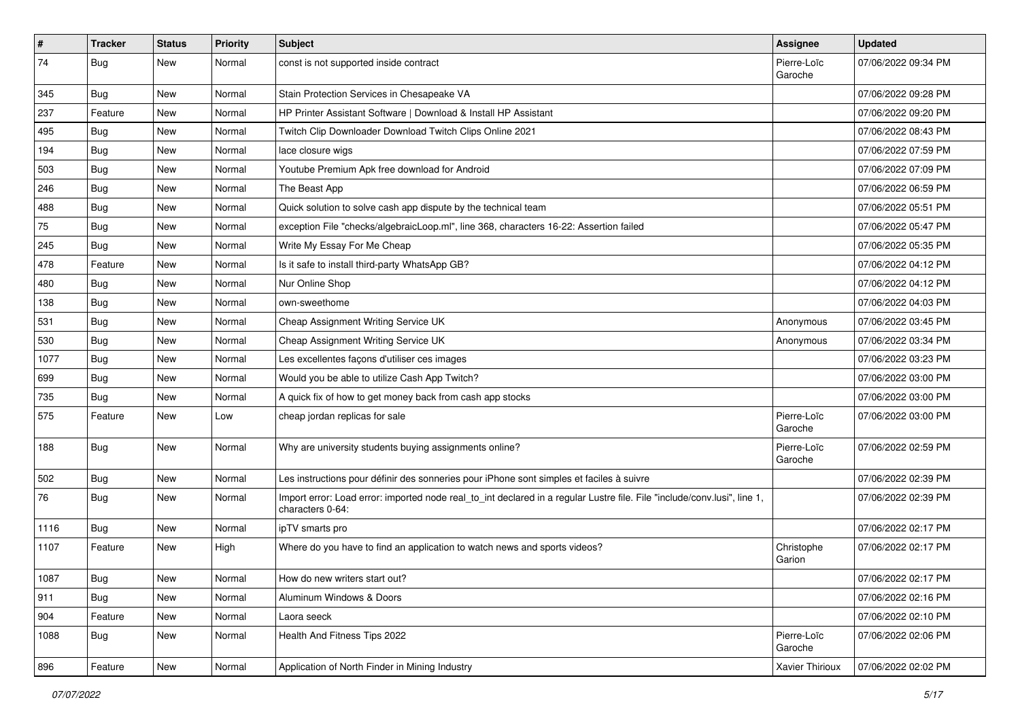| $\vert$ # | <b>Tracker</b> | <b>Status</b> | <b>Priority</b> | Subject                                                                                                                                      | Assignee               | <b>Updated</b>      |
|-----------|----------------|---------------|-----------------|----------------------------------------------------------------------------------------------------------------------------------------------|------------------------|---------------------|
| 74        | <b>Bug</b>     | New           | Normal          | const is not supported inside contract                                                                                                       | Pierre-Loïc<br>Garoche | 07/06/2022 09:34 PM |
| 345       | <b>Bug</b>     | New           | Normal          | Stain Protection Services in Chesapeake VA                                                                                                   |                        | 07/06/2022 09:28 PM |
| 237       | Feature        | New           | Normal          | HP Printer Assistant Software   Download & Install HP Assistant                                                                              |                        | 07/06/2022 09:20 PM |
| 495       | Bug            | New           | Normal          | Twitch Clip Downloader Download Twitch Clips Online 2021                                                                                     |                        | 07/06/2022 08:43 PM |
| 194       | Bug            | New           | Normal          | lace closure wigs                                                                                                                            |                        | 07/06/2022 07:59 PM |
| 503       | <b>Bug</b>     | New           | Normal          | Youtube Premium Apk free download for Android                                                                                                |                        | 07/06/2022 07:09 PM |
| 246       | <b>Bug</b>     | New           | Normal          | The Beast App                                                                                                                                |                        | 07/06/2022 06:59 PM |
| 488       | <b>Bug</b>     | New           | Normal          | Quick solution to solve cash app dispute by the technical team                                                                               |                        | 07/06/2022 05:51 PM |
| 75        | Bug            | New           | Normal          | exception File "checks/algebraicLoop.ml", line 368, characters 16-22: Assertion failed                                                       |                        | 07/06/2022 05:47 PM |
| 245       | <b>Bug</b>     | New           | Normal          | Write My Essay For Me Cheap                                                                                                                  |                        | 07/06/2022 05:35 PM |
| 478       | Feature        | New           | Normal          | Is it safe to install third-party WhatsApp GB?                                                                                               |                        | 07/06/2022 04:12 PM |
| 480       | <b>Bug</b>     | New           | Normal          | Nur Online Shop                                                                                                                              |                        | 07/06/2022 04:12 PM |
| 138       | <b>Bug</b>     | New           | Normal          | own-sweethome                                                                                                                                |                        | 07/06/2022 04:03 PM |
| 531       | <b>Bug</b>     | New           | Normal          | Cheap Assignment Writing Service UK                                                                                                          | Anonymous              | 07/06/2022 03:45 PM |
| 530       | Bug            | New           | Normal          | Cheap Assignment Writing Service UK                                                                                                          | Anonymous              | 07/06/2022 03:34 PM |
| 1077      | <b>Bug</b>     | New           | Normal          | Les excellentes façons d'utiliser ces images                                                                                                 |                        | 07/06/2022 03:23 PM |
| 699       | Bug            | New           | Normal          | Would you be able to utilize Cash App Twitch?                                                                                                |                        | 07/06/2022 03:00 PM |
| 735       | <b>Bug</b>     | New           | Normal          | A quick fix of how to get money back from cash app stocks                                                                                    |                        | 07/06/2022 03:00 PM |
| 575       | Feature        | New           | Low             | cheap jordan replicas for sale                                                                                                               | Pierre-Loïc<br>Garoche | 07/06/2022 03:00 PM |
| 188       | <b>Bug</b>     | New           | Normal          | Why are university students buying assignments online?                                                                                       | Pierre-Loïc<br>Garoche | 07/06/2022 02:59 PM |
| 502       | <b>Bug</b>     | New           | Normal          | Les instructions pour définir des sonneries pour iPhone sont simples et faciles à suivre                                                     |                        | 07/06/2022 02:39 PM |
| 76        | <b>Bug</b>     | New           | Normal          | Import error: Load error: imported node real_to_int declared in a regular Lustre file. File "include/conv.lusi", line 1,<br>characters 0-64: |                        | 07/06/2022 02:39 PM |
| 1116      | Bug            | New           | Normal          | ipTV smarts pro                                                                                                                              |                        | 07/06/2022 02:17 PM |
| 1107      | Feature        | New           | High            | Where do you have to find an application to watch news and sports videos?                                                                    | Christophe<br>Garion   | 07/06/2022 02:17 PM |
| 1087      | <b>Bug</b>     | New           | Normal          | How do new writers start out?                                                                                                                |                        | 07/06/2022 02:17 PM |
| 911       | Bug            | New           | Normal          | Aluminum Windows & Doors                                                                                                                     |                        | 07/06/2022 02:16 PM |
| 904       | Feature        | New           | Normal          | Laora seeck                                                                                                                                  |                        | 07/06/2022 02:10 PM |
| 1088      | Bug            | New           | Normal          | Health And Fitness Tips 2022                                                                                                                 | Pierre-Loïc<br>Garoche | 07/06/2022 02:06 PM |
| 896       | Feature        | New           | Normal          | Application of North Finder in Mining Industry                                                                                               | Xavier Thirioux        | 07/06/2022 02:02 PM |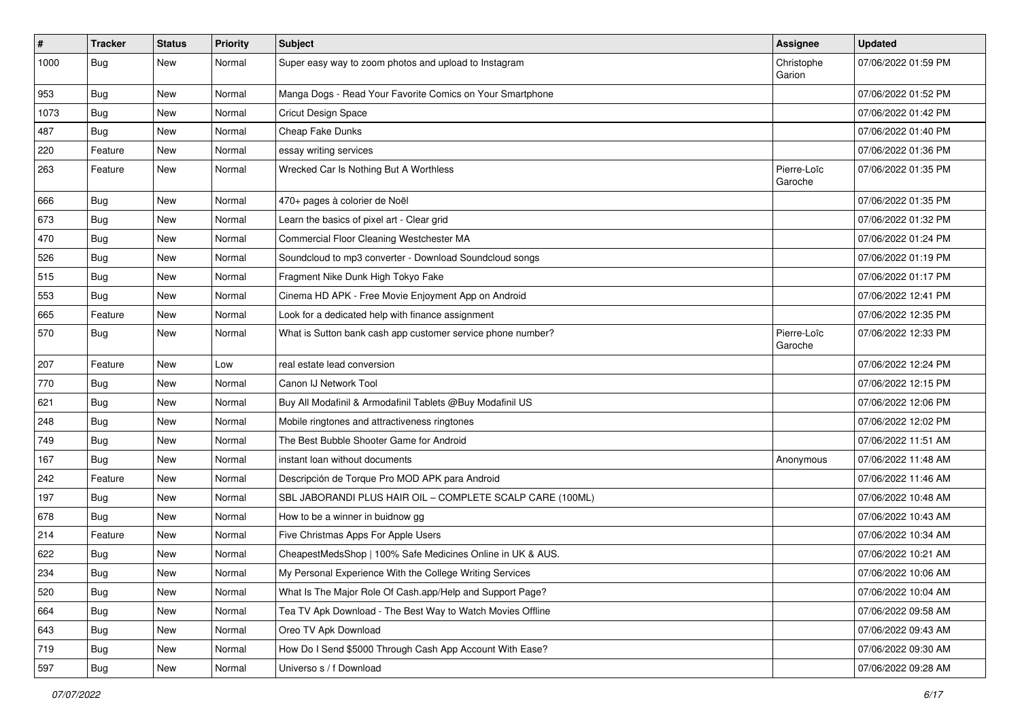| $\vert$ # | Tracker    | <b>Status</b> | <b>Priority</b> | Subject                                                     | <b>Assignee</b>        | <b>Updated</b>      |
|-----------|------------|---------------|-----------------|-------------------------------------------------------------|------------------------|---------------------|
| 1000      | <b>Bug</b> | New           | Normal          | Super easy way to zoom photos and upload to Instagram       | Christophe<br>Garion   | 07/06/2022 01:59 PM |
| 953       | Bug        | New           | Normal          | Manga Dogs - Read Your Favorite Comics on Your Smartphone   |                        | 07/06/2022 01:52 PM |
| 1073      | Bug        | New           | Normal          | <b>Cricut Design Space</b>                                  |                        | 07/06/2022 01:42 PM |
| 487       | Bug        | New           | Normal          | Cheap Fake Dunks                                            |                        | 07/06/2022 01:40 PM |
| 220       | Feature    | New           | Normal          | essay writing services                                      |                        | 07/06/2022 01:36 PM |
| 263       | Feature    | New           | Normal          | Wrecked Car Is Nothing But A Worthless                      | Pierre-Loïc<br>Garoche | 07/06/2022 01:35 PM |
| 666       | <b>Bug</b> | New           | Normal          | 470+ pages à colorier de Noël                               |                        | 07/06/2022 01:35 PM |
| 673       | Bug        | New           | Normal          | Learn the basics of pixel art - Clear grid                  |                        | 07/06/2022 01:32 PM |
| 470       | Bug        | New           | Normal          | Commercial Floor Cleaning Westchester MA                    |                        | 07/06/2022 01:24 PM |
| 526       | <b>Bug</b> | New           | Normal          | Soundcloud to mp3 converter - Download Soundcloud songs     |                        | 07/06/2022 01:19 PM |
| 515       | Bug        | New           | Normal          | Fragment Nike Dunk High Tokyo Fake                          |                        | 07/06/2022 01:17 PM |
| 553       | <b>Bug</b> | New           | Normal          | Cinema HD APK - Free Movie Enjoyment App on Android         |                        | 07/06/2022 12:41 PM |
| 665       | Feature    | New           | Normal          | Look for a dedicated help with finance assignment           |                        | 07/06/2022 12:35 PM |
| 570       | Bug        | New           | Normal          | What is Sutton bank cash app customer service phone number? | Pierre-Loïc<br>Garoche | 07/06/2022 12:33 PM |
| 207       | Feature    | New           | Low             | real estate lead conversion                                 |                        | 07/06/2022 12:24 PM |
| 770       | <b>Bug</b> | New           | Normal          | Canon IJ Network Tool                                       |                        | 07/06/2022 12:15 PM |
| 621       | <b>Bug</b> | New           | Normal          | Buy All Modafinil & Armodafinil Tablets @Buy Modafinil US   |                        | 07/06/2022 12:06 PM |
| 248       | <b>Bug</b> | New           | Normal          | Mobile ringtones and attractiveness ringtones               |                        | 07/06/2022 12:02 PM |
| 749       | <b>Bug</b> | New           | Normal          | The Best Bubble Shooter Game for Android                    |                        | 07/06/2022 11:51 AM |
| 167       | Bug        | New           | Normal          | instant loan without documents                              | Anonymous              | 07/06/2022 11:48 AM |
| 242       | Feature    | New           | Normal          | Descripción de Torque Pro MOD APK para Android              |                        | 07/06/2022 11:46 AM |
| 197       | <b>Bug</b> | New           | Normal          | SBL JABORANDI PLUS HAIR OIL - COMPLETE SCALP CARE (100ML)   |                        | 07/06/2022 10:48 AM |
| 678       | Bug        | New           | Normal          | How to be a winner in buidnow gg                            |                        | 07/06/2022 10:43 AM |
| 214       | Feature    | New           | Normal          | Five Christmas Apps For Apple Users                         |                        | 07/06/2022 10:34 AM |
| 622       | Bug        | New           | Normal          | CheapestMedsShop   100% Safe Medicines Online in UK & AUS.  |                        | 07/06/2022 10:21 AM |
| 234       | Bug        | New           | Normal          | My Personal Experience With the College Writing Services    |                        | 07/06/2022 10:06 AM |
| 520       | <b>Bug</b> | New           | Normal          | What Is The Major Role Of Cash.app/Help and Support Page?   |                        | 07/06/2022 10:04 AM |
| 664       | <b>Bug</b> | New           | Normal          | Tea TV Apk Download - The Best Way to Watch Movies Offline  |                        | 07/06/2022 09:58 AM |
| 643       | Bug        | New           | Normal          | Oreo TV Apk Download                                        |                        | 07/06/2022 09:43 AM |
| 719       | Bug        | New           | Normal          | How Do I Send \$5000 Through Cash App Account With Ease?    |                        | 07/06/2022 09:30 AM |
| 597       | <b>Bug</b> | New           | Normal          | Universo s / f Download                                     |                        | 07/06/2022 09:28 AM |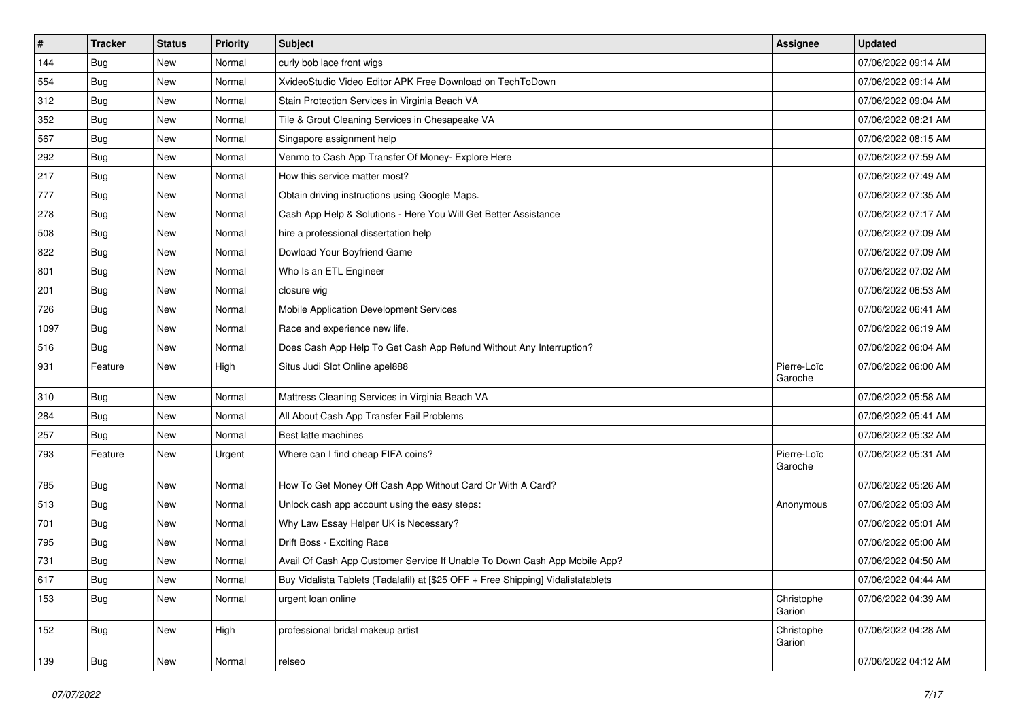| $\vert$ # | <b>Tracker</b> | <b>Status</b> | <b>Priority</b> | Subject                                                                          | <b>Assignee</b>        | <b>Updated</b>      |
|-----------|----------------|---------------|-----------------|----------------------------------------------------------------------------------|------------------------|---------------------|
| 144       | <b>Bug</b>     | New           | Normal          | curly bob lace front wigs                                                        |                        | 07/06/2022 09:14 AM |
| 554       | <b>Bug</b>     | New           | Normal          | XvideoStudio Video Editor APK Free Download on TechToDown                        |                        | 07/06/2022 09:14 AM |
| 312       | Bug            | New           | Normal          | Stain Protection Services in Virginia Beach VA                                   |                        | 07/06/2022 09:04 AM |
| 352       | <b>Bug</b>     | New           | Normal          | Tile & Grout Cleaning Services in Chesapeake VA                                  |                        | 07/06/2022 08:21 AM |
| 567       | <b>Bug</b>     | New           | Normal          | Singapore assignment help                                                        |                        | 07/06/2022 08:15 AM |
| 292       | <b>Bug</b>     | New           | Normal          | Venmo to Cash App Transfer Of Money- Explore Here                                |                        | 07/06/2022 07:59 AM |
| 217       | <b>Bug</b>     | New           | Normal          | How this service matter most?                                                    |                        | 07/06/2022 07:49 AM |
| 777       | <b>Bug</b>     | New           | Normal          | Obtain driving instructions using Google Maps.                                   |                        | 07/06/2022 07:35 AM |
| 278       | <b>Bug</b>     | New           | Normal          | Cash App Help & Solutions - Here You Will Get Better Assistance                  |                        | 07/06/2022 07:17 AM |
| 508       | <b>Bug</b>     | New           | Normal          | hire a professional dissertation help                                            |                        | 07/06/2022 07:09 AM |
| 822       | <b>Bug</b>     | New           | Normal          | Dowload Your Boyfriend Game                                                      |                        | 07/06/2022 07:09 AM |
| 801       | <b>Bug</b>     | New           | Normal          | Who Is an ETL Engineer                                                           |                        | 07/06/2022 07:02 AM |
| 201       | Bug            | New           | Normal          | closure wig                                                                      |                        | 07/06/2022 06:53 AM |
| 726       | Bug            | New           | Normal          | Mobile Application Development Services                                          |                        | 07/06/2022 06:41 AM |
| 1097      | Bug            | New           | Normal          | Race and experience new life.                                                    |                        | 07/06/2022 06:19 AM |
| 516       | <b>Bug</b>     | New           | Normal          | Does Cash App Help To Get Cash App Refund Without Any Interruption?              |                        | 07/06/2022 06:04 AM |
| 931       | Feature        | New           | High            | Situs Judi Slot Online apel888                                                   | Pierre-Loïc<br>Garoche | 07/06/2022 06:00 AM |
| 310       | Bug            | New           | Normal          | Mattress Cleaning Services in Virginia Beach VA                                  |                        | 07/06/2022 05:58 AM |
| 284       | Bug            | New           | Normal          | All About Cash App Transfer Fail Problems                                        |                        | 07/06/2022 05:41 AM |
| 257       | <b>Bug</b>     | New           | Normal          | Best latte machines                                                              |                        | 07/06/2022 05:32 AM |
| 793       | Feature        | New           | Urgent          | Where can I find cheap FIFA coins?                                               | Pierre-Loïc<br>Garoche | 07/06/2022 05:31 AM |
| 785       | <b>Bug</b>     | New           | Normal          | How To Get Money Off Cash App Without Card Or With A Card?                       |                        | 07/06/2022 05:26 AM |
| 513       | <b>Bug</b>     | New           | Normal          | Unlock cash app account using the easy steps:                                    | Anonymous              | 07/06/2022 05:03 AM |
| 701       | Bug            | New           | Normal          | Why Law Essay Helper UK is Necessary?                                            |                        | 07/06/2022 05:01 AM |
| 795       | <b>Bug</b>     | New           | Normal          | Drift Boss - Exciting Race                                                       |                        | 07/06/2022 05:00 AM |
| 731       | <b>Bug</b>     | New           | Normal          | Avail Of Cash App Customer Service If Unable To Down Cash App Mobile App?        |                        | 07/06/2022 04:50 AM |
| 617       | Bug            | New           | Normal          | Buy Vidalista Tablets (Tadalafil) at [\$25 OFF + Free Shipping] Vidalistatablets |                        | 07/06/2022 04:44 AM |
| 153       | <b>Bug</b>     | New           | Normal          | urgent loan online                                                               | Christophe<br>Garion   | 07/06/2022 04:39 AM |
| 152       | <b>Bug</b>     | New           | High            | professional bridal makeup artist                                                | Christophe<br>Garion   | 07/06/2022 04:28 AM |
| 139       | Bug            | New           | Normal          | relseo                                                                           |                        | 07/06/2022 04:12 AM |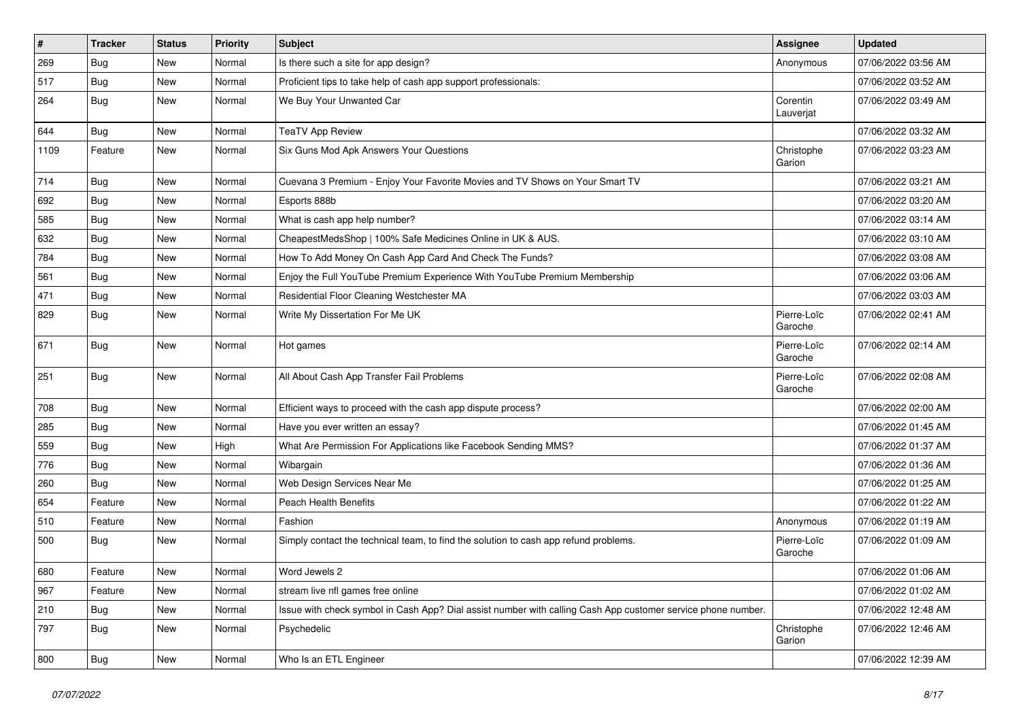| $\vert$ # | <b>Tracker</b> | <b>Status</b> | <b>Priority</b> | Subject                                                                                                      | Assignee               | <b>Updated</b>      |
|-----------|----------------|---------------|-----------------|--------------------------------------------------------------------------------------------------------------|------------------------|---------------------|
| 269       | <b>Bug</b>     | New           | Normal          | Is there such a site for app design?                                                                         | Anonymous              | 07/06/2022 03:56 AM |
| 517       | Bug            | New           | Normal          | Proficient tips to take help of cash app support professionals:                                              |                        | 07/06/2022 03:52 AM |
| 264       | <b>Bug</b>     | New           | Normal          | We Buy Your Unwanted Car                                                                                     | Corentin<br>Lauverjat  | 07/06/2022 03:49 AM |
| 644       | Bug            | New           | Normal          | <b>TeaTV App Review</b>                                                                                      |                        | 07/06/2022 03:32 AM |
| 1109      | Feature        | New           | Normal          | Six Guns Mod Apk Answers Your Questions                                                                      | Christophe<br>Garion   | 07/06/2022 03:23 AM |
| 714       | Bug            | New           | Normal          | Cuevana 3 Premium - Enjoy Your Favorite Movies and TV Shows on Your Smart TV                                 |                        | 07/06/2022 03:21 AM |
| 692       | <b>Bug</b>     | New           | Normal          | Esports 888b                                                                                                 |                        | 07/06/2022 03:20 AM |
| 585       | Bug            | New           | Normal          | What is cash app help number?                                                                                |                        | 07/06/2022 03:14 AM |
| 632       | Bug            | New           | Normal          | CheapestMedsShop   100% Safe Medicines Online in UK & AUS.                                                   |                        | 07/06/2022 03:10 AM |
| 784       | Bug            | New           | Normal          | How To Add Money On Cash App Card And Check The Funds?                                                       |                        | 07/06/2022 03:08 AM |
| 561       | Bug            | New           | Normal          | Enjoy the Full YouTube Premium Experience With YouTube Premium Membership                                    |                        | 07/06/2022 03:06 AM |
| 471       | Bug            | New           | Normal          | Residential Floor Cleaning Westchester MA                                                                    |                        | 07/06/2022 03:03 AM |
| 829       | Bug            | New           | Normal          | Write My Dissertation For Me UK                                                                              | Pierre-Loïc<br>Garoche | 07/06/2022 02:41 AM |
| 671       | Bug            | New           | Normal          | Hot games                                                                                                    | Pierre-Loïc<br>Garoche | 07/06/2022 02:14 AM |
| 251       | Bug            | New           | Normal          | All About Cash App Transfer Fail Problems                                                                    | Pierre-Loïc<br>Garoche | 07/06/2022 02:08 AM |
| 708       | Bug            | New           | Normal          | Efficient ways to proceed with the cash app dispute process?                                                 |                        | 07/06/2022 02:00 AM |
| 285       | Bug            | New           | Normal          | Have you ever written an essay?                                                                              |                        | 07/06/2022 01:45 AM |
| 559       | <b>Bug</b>     | New           | High            | What Are Permission For Applications like Facebook Sending MMS?                                              |                        | 07/06/2022 01:37 AM |
| 776       | <b>Bug</b>     | New           | Normal          | Wibargain                                                                                                    |                        | 07/06/2022 01:36 AM |
| 260       | <b>Bug</b>     | New           | Normal          | Web Design Services Near Me                                                                                  |                        | 07/06/2022 01:25 AM |
| 654       | Feature        | New           | Normal          | Peach Health Benefits                                                                                        |                        | 07/06/2022 01:22 AM |
| 510       | Feature        | New           | Normal          | Fashion                                                                                                      | Anonymous              | 07/06/2022 01:19 AM |
| 500       | <b>Bug</b>     | New           | Normal          | Simply contact the technical team, to find the solution to cash app refund problems.                         | Pierre-Loïc<br>Garoche | 07/06/2022 01:09 AM |
| 680       | Feature        | New           | Normal          | Word Jewels 2                                                                                                |                        | 07/06/2022 01:06 AM |
| 967       | Feature        | New           | Normal          | stream live nfl games free online                                                                            |                        | 07/06/2022 01:02 AM |
| 210       | Bug            | New           | Normal          | Issue with check symbol in Cash App? Dial assist number with calling Cash App customer service phone number. |                        | 07/06/2022 12:48 AM |
| 797       | <b>Bug</b>     | New           | Normal          | Psychedelic                                                                                                  | Christophe<br>Garion   | 07/06/2022 12:46 AM |
| 800       | <b>Bug</b>     | New           | Normal          | Who Is an ETL Engineer                                                                                       |                        | 07/06/2022 12:39 AM |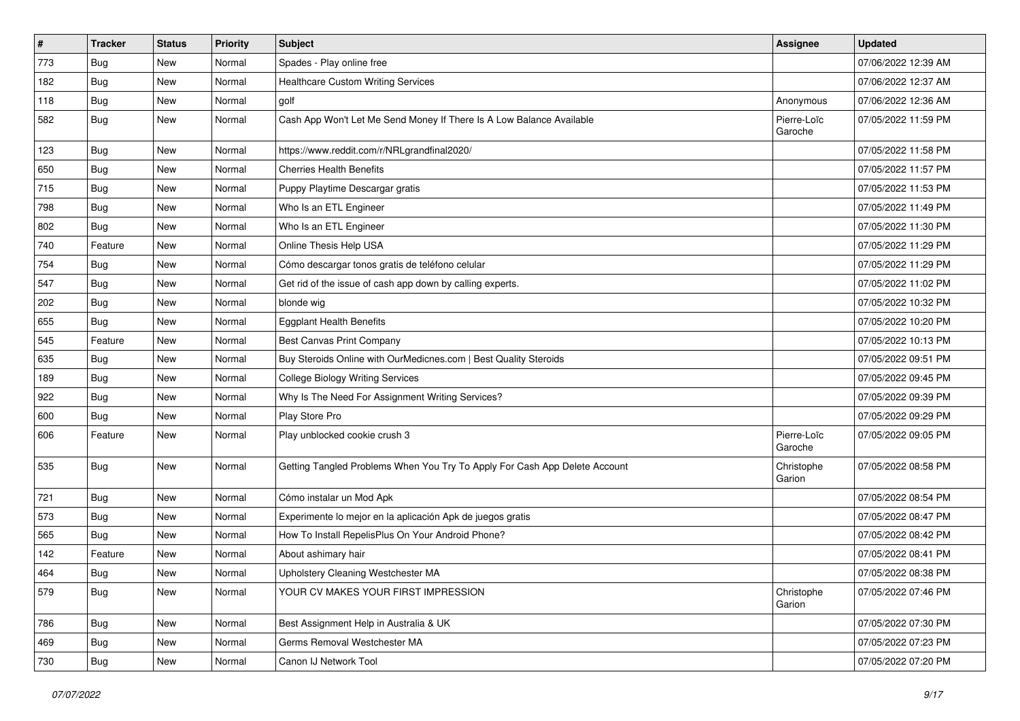| $\vert$ # | <b>Tracker</b> | <b>Status</b> | <b>Priority</b> | Subject                                                                    | <b>Assignee</b>        | <b>Updated</b>      |
|-----------|----------------|---------------|-----------------|----------------------------------------------------------------------------|------------------------|---------------------|
| 773       | <b>Bug</b>     | New           | Normal          | Spades - Play online free                                                  |                        | 07/06/2022 12:39 AM |
| 182       | <b>Bug</b>     | New           | Normal          | <b>Healthcare Custom Writing Services</b>                                  |                        | 07/06/2022 12:37 AM |
| 118       | Bug            | New           | Normal          | golf                                                                       | Anonymous              | 07/06/2022 12:36 AM |
| 582       | <b>Bug</b>     | New           | Normal          | Cash App Won't Let Me Send Money If There Is A Low Balance Available       | Pierre-Loïc<br>Garoche | 07/05/2022 11:59 PM |
| 123       | <b>Bug</b>     | New           | Normal          | https://www.reddit.com/r/NRLgrandfinal2020/                                |                        | 07/05/2022 11:58 PM |
| 650       | Bug            | New           | Normal          | <b>Cherries Health Benefits</b>                                            |                        | 07/05/2022 11:57 PM |
| 715       | <b>Bug</b>     | New           | Normal          | Puppy Playtime Descargar gratis                                            |                        | 07/05/2022 11:53 PM |
| 798       | <b>Bug</b>     | New           | Normal          | Who Is an ETL Engineer                                                     |                        | 07/05/2022 11:49 PM |
| 802       | <b>Bug</b>     | New           | Normal          | Who Is an ETL Engineer                                                     |                        | 07/05/2022 11:30 PM |
| 740       | Feature        | New           | Normal          | Online Thesis Help USA                                                     |                        | 07/05/2022 11:29 PM |
| 754       | <b>Bug</b>     | New           | Normal          | Cómo descargar tonos gratis de teléfono celular                            |                        | 07/05/2022 11:29 PM |
| 547       | Bug            | New           | Normal          | Get rid of the issue of cash app down by calling experts.                  |                        | 07/05/2022 11:02 PM |
| 202       | <b>Bug</b>     | New           | Normal          | blonde wig                                                                 |                        | 07/05/2022 10:32 PM |
| 655       | <b>Bug</b>     | New           | Normal          | <b>Eggplant Health Benefits</b>                                            |                        | 07/05/2022 10:20 PM |
| 545       | Feature        | New           | Normal          | Best Canvas Print Company                                                  |                        | 07/05/2022 10:13 PM |
| 635       | <b>Bug</b>     | New           | Normal          | Buy Steroids Online with OurMedicnes.com   Best Quality Steroids           |                        | 07/05/2022 09:51 PM |
| 189       | Bug            | New           | Normal          | <b>College Biology Writing Services</b>                                    |                        | 07/05/2022 09:45 PM |
| 922       | Bug            | New           | Normal          | Why Is The Need For Assignment Writing Services?                           |                        | 07/05/2022 09:39 PM |
| 600       | <b>Bug</b>     | New           | Normal          | Play Store Pro                                                             |                        | 07/05/2022 09:29 PM |
| 606       | Feature        | New           | Normal          | Play unblocked cookie crush 3                                              | Pierre-Loïc<br>Garoche | 07/05/2022 09:05 PM |
| 535       | Bug            | New           | Normal          | Getting Tangled Problems When You Try To Apply For Cash App Delete Account | Christophe<br>Garion   | 07/05/2022 08:58 PM |
| 721       | Bug            | New           | Normal          | Cómo instalar un Mod Apk                                                   |                        | 07/05/2022 08:54 PM |
| 573       | Bug            | New           | Normal          | Experimente lo mejor en la aplicación Apk de juegos gratis                 |                        | 07/05/2022 08:47 PM |
| 565       | <b>Bug</b>     | New           | Normal          | How To Install RepelisPlus On Your Android Phone?                          |                        | 07/05/2022 08:42 PM |
| 142       | Feature        | New           | Normal          | About ashimary hair                                                        |                        | 07/05/2022 08:41 PM |
| 464       | Bug            | New           | Normal          | Upholstery Cleaning Westchester MA                                         |                        | 07/05/2022 08:38 PM |
| 579       | <b>Bug</b>     | New           | Normal          | YOUR CV MAKES YOUR FIRST IMPRESSION                                        | Christophe<br>Garion   | 07/05/2022 07:46 PM |
| 786       | <b>Bug</b>     | New           | Normal          | Best Assignment Help in Australia & UK                                     |                        | 07/05/2022 07:30 PM |
| 469       | <b>Bug</b>     | New           | Normal          | Germs Removal Westchester MA                                               |                        | 07/05/2022 07:23 PM |
| 730       | Bug            | New           | Normal          | Canon IJ Network Tool                                                      |                        | 07/05/2022 07:20 PM |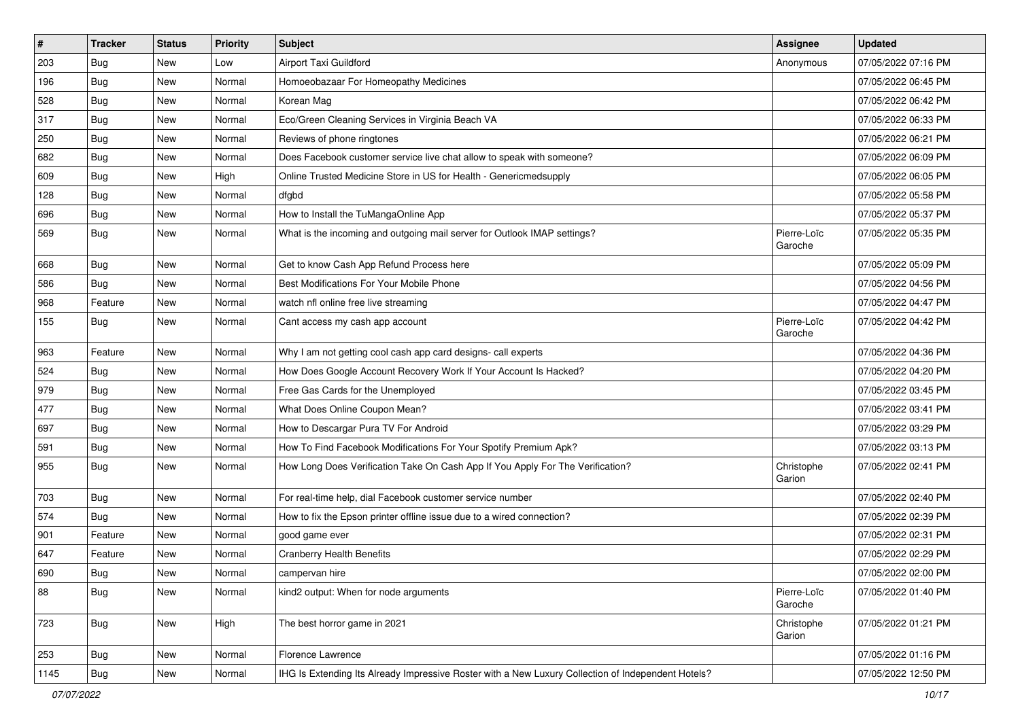| $\vert$ # | <b>Tracker</b> | <b>Status</b> | <b>Priority</b> | Subject                                                                                            | <b>Assignee</b>        | <b>Updated</b>      |
|-----------|----------------|---------------|-----------------|----------------------------------------------------------------------------------------------------|------------------------|---------------------|
| 203       | <b>Bug</b>     | New           | Low             | Airport Taxi Guildford                                                                             | Anonymous              | 07/05/2022 07:16 PM |
| 196       | <b>Bug</b>     | New           | Normal          | Homoeobazaar For Homeopathy Medicines                                                              |                        | 07/05/2022 06:45 PM |
| 528       | <b>Bug</b>     | New           | Normal          | Korean Mag                                                                                         |                        | 07/05/2022 06:42 PM |
| 317       | Bug            | New           | Normal          | Eco/Green Cleaning Services in Virginia Beach VA                                                   |                        | 07/05/2022 06:33 PM |
| 250       | Bug            | New           | Normal          | Reviews of phone ringtones                                                                         |                        | 07/05/2022 06:21 PM |
| 682       | <b>Bug</b>     | New           | Normal          | Does Facebook customer service live chat allow to speak with someone?                              |                        | 07/05/2022 06:09 PM |
| 609       | <b>Bug</b>     | New           | High            | Online Trusted Medicine Store in US for Health - Genericmedsupply                                  |                        | 07/05/2022 06:05 PM |
| 128       | Bug            | New           | Normal          | dfgbd                                                                                              |                        | 07/05/2022 05:58 PM |
| 696       | <b>Bug</b>     | New           | Normal          | How to Install the TuMangaOnline App                                                               |                        | 07/05/2022 05:37 PM |
| 569       | <b>Bug</b>     | New           | Normal          | What is the incoming and outgoing mail server for Outlook IMAP settings?                           | Pierre-Loïc<br>Garoche | 07/05/2022 05:35 PM |
| 668       | Bug            | New           | Normal          | Get to know Cash App Refund Process here                                                           |                        | 07/05/2022 05:09 PM |
| 586       | Bug            | New           | Normal          | Best Modifications For Your Mobile Phone                                                           |                        | 07/05/2022 04:56 PM |
| 968       | Feature        | New           | Normal          | watch nfl online free live streaming                                                               |                        | 07/05/2022 04:47 PM |
| 155       | <b>Bug</b>     | New           | Normal          | Cant access my cash app account                                                                    | Pierre-Loïc<br>Garoche | 07/05/2022 04:42 PM |
| 963       | Feature        | New           | Normal          | Why I am not getting cool cash app card designs- call experts                                      |                        | 07/05/2022 04:36 PM |
| 524       | <b>Bug</b>     | New           | Normal          | How Does Google Account Recovery Work If Your Account Is Hacked?                                   |                        | 07/05/2022 04:20 PM |
| 979       | <b>Bug</b>     | New           | Normal          | Free Gas Cards for the Unemployed                                                                  |                        | 07/05/2022 03:45 PM |
| 477       | <b>Bug</b>     | New           | Normal          | What Does Online Coupon Mean?                                                                      |                        | 07/05/2022 03:41 PM |
| 697       | <b>Bug</b>     | New           | Normal          | How to Descargar Pura TV For Android                                                               |                        | 07/05/2022 03:29 PM |
| 591       | <b>Bug</b>     | New           | Normal          | How To Find Facebook Modifications For Your Spotify Premium Apk?                                   |                        | 07/05/2022 03:13 PM |
| 955       | <b>Bug</b>     | New           | Normal          | How Long Does Verification Take On Cash App If You Apply For The Verification?                     | Christophe<br>Garion   | 07/05/2022 02:41 PM |
| 703       | <b>Bug</b>     | New           | Normal          | For real-time help, dial Facebook customer service number                                          |                        | 07/05/2022 02:40 PM |
| 574       | Bug            | New           | Normal          | How to fix the Epson printer offline issue due to a wired connection?                              |                        | 07/05/2022 02:39 PM |
| 901       | Feature        | New           | Normal          | good game ever                                                                                     |                        | 07/05/2022 02:31 PM |
| 647       | Feature        | New           | Normal          | <b>Cranberry Health Benefits</b>                                                                   |                        | 07/05/2022 02:29 PM |
| 690       | Bug            | New           | Normal          | campervan hire                                                                                     |                        | 07/05/2022 02:00 PM |
| 88        | <b>Bug</b>     | New           | Normal          | kind2 output: When for node arguments                                                              | Pierre-Loïc<br>Garoche | 07/05/2022 01:40 PM |
| 723       | <b>Bug</b>     | New           | High            | The best horror game in 2021                                                                       | Christophe<br>Garion   | 07/05/2022 01:21 PM |
| 253       | <b>Bug</b>     | New           | Normal          | Florence Lawrence                                                                                  |                        | 07/05/2022 01:16 PM |
| 1145      | <b>Bug</b>     | New           | Normal          | IHG Is Extending Its Already Impressive Roster with a New Luxury Collection of Independent Hotels? |                        | 07/05/2022 12:50 PM |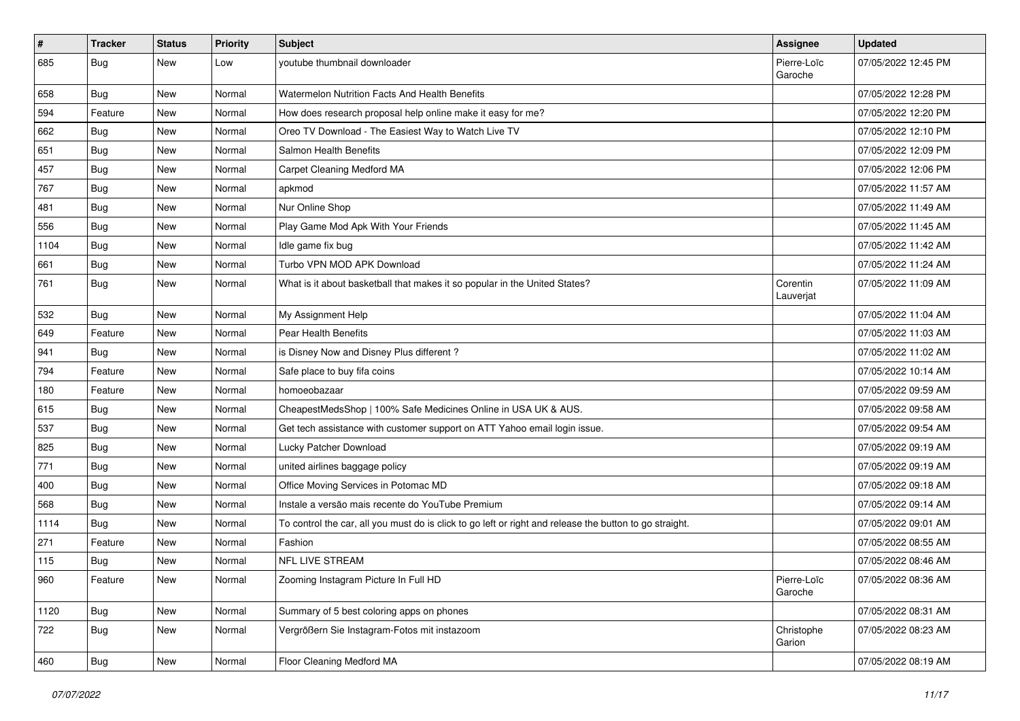| #    | Tracker    | <b>Status</b> | <b>Priority</b> | Subject                                                                                                 | Assignee               | <b>Updated</b>      |
|------|------------|---------------|-----------------|---------------------------------------------------------------------------------------------------------|------------------------|---------------------|
| 685  | <b>Bug</b> | New           | Low             | youtube thumbnail downloader                                                                            | Pierre-Loïc<br>Garoche | 07/05/2022 12:45 PM |
| 658  | Bug        | New           | Normal          | Watermelon Nutrition Facts And Health Benefits                                                          |                        | 07/05/2022 12:28 PM |
| 594  | Feature    | New           | Normal          | How does research proposal help online make it easy for me?                                             |                        | 07/05/2022 12:20 PM |
| 662  | Bug        | New           | Normal          | Oreo TV Download - The Easiest Way to Watch Live TV                                                     |                        | 07/05/2022 12:10 PM |
| 651  | <b>Bug</b> | New           | Normal          | Salmon Health Benefits                                                                                  |                        | 07/05/2022 12:09 PM |
| 457  | Bug        | New           | Normal          | Carpet Cleaning Medford MA                                                                              |                        | 07/05/2022 12:06 PM |
| 767  | <b>Bug</b> | New           | Normal          | apkmod                                                                                                  |                        | 07/05/2022 11:57 AM |
| 481  | <b>Bug</b> | New           | Normal          | Nur Online Shop                                                                                         |                        | 07/05/2022 11:49 AM |
| 556  | Bug        | New           | Normal          | Play Game Mod Apk With Your Friends                                                                     |                        | 07/05/2022 11:45 AM |
| 1104 | <b>Bug</b> | New           | Normal          | Idle game fix bug                                                                                       |                        | 07/05/2022 11:42 AM |
| 661  | Bug        | New           | Normal          | Turbo VPN MOD APK Download                                                                              |                        | 07/05/2022 11:24 AM |
| 761  | <b>Bug</b> | New           | Normal          | What is it about basketball that makes it so popular in the United States?                              | Corentin<br>Lauverjat  | 07/05/2022 11:09 AM |
| 532  | Bug        | New           | Normal          | My Assignment Help                                                                                      |                        | 07/05/2022 11:04 AM |
| 649  | Feature    | New           | Normal          | Pear Health Benefits                                                                                    |                        | 07/05/2022 11:03 AM |
| 941  | <b>Bug</b> | New           | Normal          | is Disney Now and Disney Plus different?                                                                |                        | 07/05/2022 11:02 AM |
| 794  | Feature    | New           | Normal          | Safe place to buy fifa coins                                                                            |                        | 07/05/2022 10:14 AM |
| 180  | Feature    | New           | Normal          | homoeobazaar                                                                                            |                        | 07/05/2022 09:59 AM |
| 615  | <b>Bug</b> | New           | Normal          | CheapestMedsShop   100% Safe Medicines Online in USA UK & AUS.                                          |                        | 07/05/2022 09:58 AM |
| 537  | Bug        | New           | Normal          | Get tech assistance with customer support on ATT Yahoo email login issue.                               |                        | 07/05/2022 09:54 AM |
| 825  | <b>Bug</b> | New           | Normal          | Lucky Patcher Download                                                                                  |                        | 07/05/2022 09:19 AM |
| 771  | Bug        | New           | Normal          | united airlines baggage policy                                                                          |                        | 07/05/2022 09:19 AM |
| 400  | Bug        | New           | Normal          | Office Moving Services in Potomac MD                                                                    |                        | 07/05/2022 09:18 AM |
| 568  | Bug        | New           | Normal          | Instale a versão mais recente do YouTube Premium                                                        |                        | 07/05/2022 09:14 AM |
| 1114 | Bug        | New           | Normal          | To control the car, all you must do is click to go left or right and release the button to go straight. |                        | 07/05/2022 09:01 AM |
| 271  | Feature    | New           | Normal          | Fashion                                                                                                 |                        | 07/05/2022 08:55 AM |
| 115  | Bug        | New           | Normal          | NFL LIVE STREAM                                                                                         |                        | 07/05/2022 08:46 AM |
| 960  | Feature    | New           | Normal          | Zooming Instagram Picture In Full HD                                                                    | Pierre-Loïc<br>Garoche | 07/05/2022 08:36 AM |
| 1120 | <b>Bug</b> | New           | Normal          | Summary of 5 best coloring apps on phones                                                               |                        | 07/05/2022 08:31 AM |
| 722  | Bug        | New           | Normal          | Vergrößern Sie Instagram-Fotos mit instazoom                                                            | Christophe<br>Garion   | 07/05/2022 08:23 AM |
| 460  | Bug        | New           | Normal          | Floor Cleaning Medford MA                                                                               |                        | 07/05/2022 08:19 AM |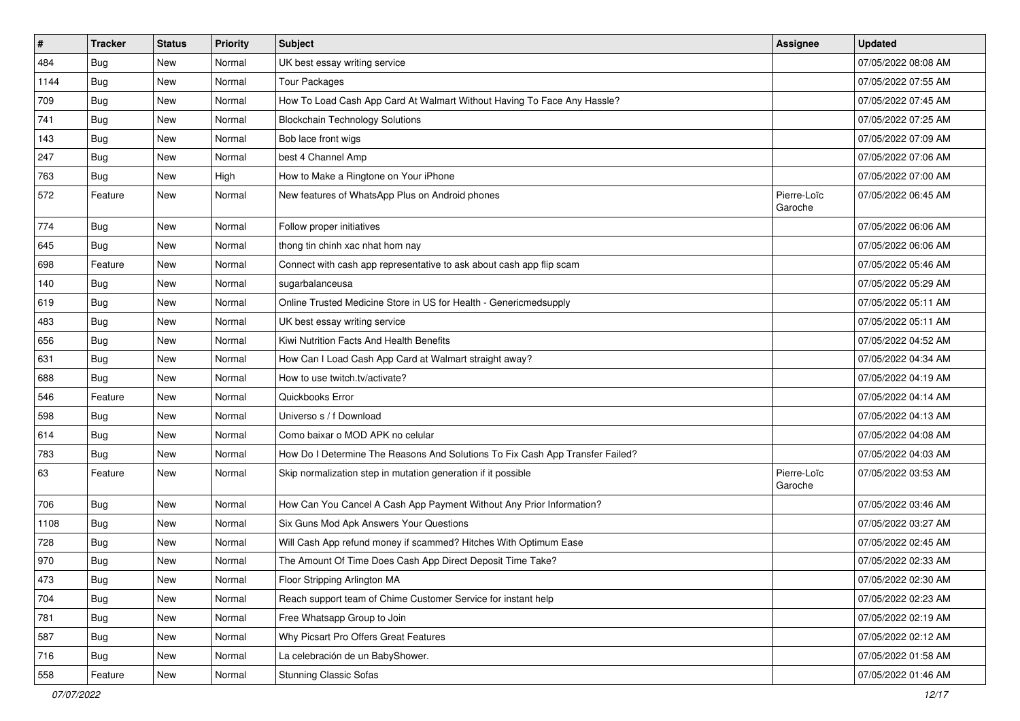| $\vert$ # | <b>Tracker</b> | <b>Status</b> | <b>Priority</b> | Subject                                                                       | <b>Assignee</b>        | <b>Updated</b>      |
|-----------|----------------|---------------|-----------------|-------------------------------------------------------------------------------|------------------------|---------------------|
| 484       | <b>Bug</b>     | New           | Normal          | UK best essay writing service                                                 |                        | 07/05/2022 08:08 AM |
| 1144      | Bug            | New           | Normal          | <b>Tour Packages</b>                                                          |                        | 07/05/2022 07:55 AM |
| 709       | <b>Bug</b>     | New           | Normal          | How To Load Cash App Card At Walmart Without Having To Face Any Hassle?       |                        | 07/05/2022 07:45 AM |
| 741       | <b>Bug</b>     | New           | Normal          | <b>Blockchain Technology Solutions</b>                                        |                        | 07/05/2022 07:25 AM |
| 143       | Bug            | New           | Normal          | Bob lace front wigs                                                           |                        | 07/05/2022 07:09 AM |
| 247       | <b>Bug</b>     | New           | Normal          | best 4 Channel Amp                                                            |                        | 07/05/2022 07:06 AM |
| 763       | <b>Bug</b>     | New           | High            | How to Make a Ringtone on Your iPhone                                         |                        | 07/05/2022 07:00 AM |
| 572       | Feature        | New           | Normal          | New features of WhatsApp Plus on Android phones                               | Pierre-Loïc<br>Garoche | 07/05/2022 06:45 AM |
| 774       | Bug            | <b>New</b>    | Normal          | Follow proper initiatives                                                     |                        | 07/05/2022 06:06 AM |
| 645       | Bug            | New           | Normal          | thong tin chinh xac nhat hom nay                                              |                        | 07/05/2022 06:06 AM |
| 698       | Feature        | <b>New</b>    | Normal          | Connect with cash app representative to ask about cash app flip scam          |                        | 07/05/2022 05:46 AM |
| 140       | <b>Bug</b>     | New           | Normal          | sugarbalanceusa                                                               |                        | 07/05/2022 05:29 AM |
| 619       | <b>Bug</b>     | New           | Normal          | Online Trusted Medicine Store in US for Health - Genericmedsupply             |                        | 07/05/2022 05:11 AM |
| 483       | Bug            | New           | Normal          | UK best essay writing service                                                 |                        | 07/05/2022 05:11 AM |
| 656       | <b>Bug</b>     | New           | Normal          | Kiwi Nutrition Facts And Health Benefits                                      |                        | 07/05/2022 04:52 AM |
| 631       | <b>Bug</b>     | New           | Normal          | How Can I Load Cash App Card at Walmart straight away?                        |                        | 07/05/2022 04:34 AM |
| 688       | Bug            | New           | Normal          | How to use twitch.tv/activate?                                                |                        | 07/05/2022 04:19 AM |
| 546       | Feature        | New           | Normal          | Quickbooks Error                                                              |                        | 07/05/2022 04:14 AM |
| 598       | Bug            | New           | Normal          | Universo s / f Download                                                       |                        | 07/05/2022 04:13 AM |
| 614       | <b>Bug</b>     | <b>New</b>    | Normal          | Como baixar o MOD APK no celular                                              |                        | 07/05/2022 04:08 AM |
| 783       | <b>Bug</b>     | New           | Normal          | How Do I Determine The Reasons And Solutions To Fix Cash App Transfer Failed? |                        | 07/05/2022 04:03 AM |
| 63        | Feature        | New           | Normal          | Skip normalization step in mutation generation if it possible                 | Pierre-Loïc<br>Garoche | 07/05/2022 03:53 AM |
| 706       | Bug            | New           | Normal          | How Can You Cancel A Cash App Payment Without Any Prior Information?          |                        | 07/05/2022 03:46 AM |
| 1108      | Bug            | New           | Normal          | Six Guns Mod Apk Answers Your Questions                                       |                        | 07/05/2022 03:27 AM |
| 728       | <b>Bug</b>     | New           | Normal          | Will Cash App refund money if scammed? Hitches With Optimum Ease              |                        | 07/05/2022 02:45 AM |
| 970       | <b>Bug</b>     | New           | Normal          | The Amount Of Time Does Cash App Direct Deposit Time Take?                    |                        | 07/05/2022 02:33 AM |
| 473       | Bug            | New           | Normal          | Floor Stripping Arlington MA                                                  |                        | 07/05/2022 02:30 AM |
| 704       | <b>Bug</b>     | New           | Normal          | Reach support team of Chime Customer Service for instant help                 |                        | 07/05/2022 02:23 AM |
| 781       | Bug            | New           | Normal          | Free Whatsapp Group to Join                                                   |                        | 07/05/2022 02:19 AM |
| 587       | Bug            | New           | Normal          | Why Picsart Pro Offers Great Features                                         |                        | 07/05/2022 02:12 AM |
| 716       | <b>Bug</b>     | New           | Normal          | La celebración de un BabyShower.                                              |                        | 07/05/2022 01:58 AM |
| 558       | Feature        | New           | Normal          | <b>Stunning Classic Sofas</b>                                                 |                        | 07/05/2022 01:46 AM |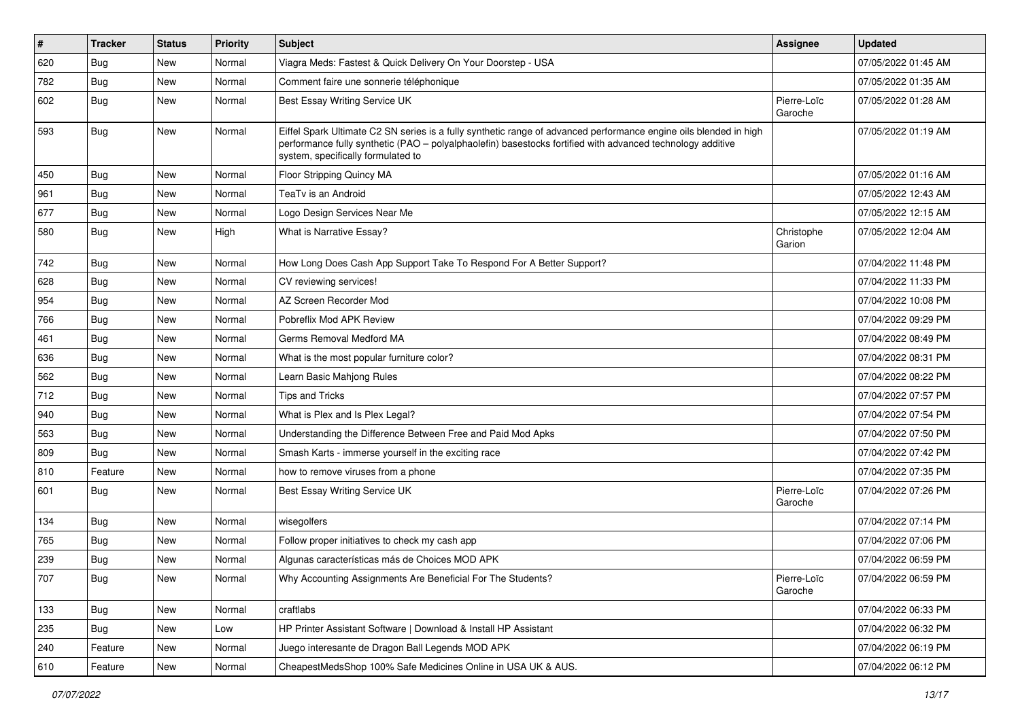| $\vert$ # | <b>Tracker</b> | <b>Status</b> | <b>Priority</b> | Subject                                                                                                                                                                                                                                                               | Assignee               | <b>Updated</b>      |
|-----------|----------------|---------------|-----------------|-----------------------------------------------------------------------------------------------------------------------------------------------------------------------------------------------------------------------------------------------------------------------|------------------------|---------------------|
| 620       | <b>Bug</b>     | New           | Normal          | Viagra Meds: Fastest & Quick Delivery On Your Doorstep - USA                                                                                                                                                                                                          |                        | 07/05/2022 01:45 AM |
| 782       | Bug            | New           | Normal          | Comment faire une sonnerie téléphonique                                                                                                                                                                                                                               |                        | 07/05/2022 01:35 AM |
| 602       | Bug            | New           | Normal          | Best Essay Writing Service UK                                                                                                                                                                                                                                         | Pierre-Loïc<br>Garoche | 07/05/2022 01:28 AM |
| 593       | Bug            | New           | Normal          | Eiffel Spark Ultimate C2 SN series is a fully synthetic range of advanced performance engine oils blended in high<br>performance fully synthetic (PAO – polyalphaolefin) basestocks fortified with advanced technology additive<br>system, specifically formulated to |                        | 07/05/2022 01:19 AM |
| 450       | <b>Bug</b>     | New           | Normal          | Floor Stripping Quincy MA                                                                                                                                                                                                                                             |                        | 07/05/2022 01:16 AM |
| 961       | Bug            | New           | Normal          | TeaTv is an Android                                                                                                                                                                                                                                                   |                        | 07/05/2022 12:43 AM |
| 677       | Bug            | New           | Normal          | Logo Design Services Near Me                                                                                                                                                                                                                                          |                        | 07/05/2022 12:15 AM |
| 580       | Bug            | New           | High            | What is Narrative Essay?                                                                                                                                                                                                                                              | Christophe<br>Garion   | 07/05/2022 12:04 AM |
| 742       | Bug            | <b>New</b>    | Normal          | How Long Does Cash App Support Take To Respond For A Better Support?                                                                                                                                                                                                  |                        | 07/04/2022 11:48 PM |
| 628       | Bug            | New           | Normal          | CV reviewing services!                                                                                                                                                                                                                                                |                        | 07/04/2022 11:33 PM |
| 954       | <b>Bug</b>     | New           | Normal          | AZ Screen Recorder Mod                                                                                                                                                                                                                                                |                        | 07/04/2022 10:08 PM |
| 766       | Bug            | New           | Normal          | Pobreflix Mod APK Review                                                                                                                                                                                                                                              |                        | 07/04/2022 09:29 PM |
| 461       | <b>Bug</b>     | New           | Normal          | Germs Removal Medford MA                                                                                                                                                                                                                                              |                        | 07/04/2022 08:49 PM |
| 636       | <b>Bug</b>     | New           | Normal          | What is the most popular furniture color?                                                                                                                                                                                                                             |                        | 07/04/2022 08:31 PM |
| 562       | <b>Bug</b>     | New           | Normal          | Learn Basic Mahjong Rules                                                                                                                                                                                                                                             |                        | 07/04/2022 08:22 PM |
| 712       | <b>Bug</b>     | New           | Normal          | <b>Tips and Tricks</b>                                                                                                                                                                                                                                                |                        | 07/04/2022 07:57 PM |
| 940       | <b>Bug</b>     | New           | Normal          | What is Plex and Is Plex Legal?                                                                                                                                                                                                                                       |                        | 07/04/2022 07:54 PM |
| 563       | <b>Bug</b>     | New           | Normal          | Understanding the Difference Between Free and Paid Mod Apks                                                                                                                                                                                                           |                        | 07/04/2022 07:50 PM |
| 809       | <b>Bug</b>     | New           | Normal          | Smash Karts - immerse yourself in the exciting race                                                                                                                                                                                                                   |                        | 07/04/2022 07:42 PM |
| 810       | Feature        | <b>New</b>    | Normal          | how to remove viruses from a phone                                                                                                                                                                                                                                    |                        | 07/04/2022 07:35 PM |
| 601       | Bug            | New           | Normal          | Best Essay Writing Service UK                                                                                                                                                                                                                                         | Pierre-Loïc<br>Garoche | 07/04/2022 07:26 PM |
| 134       | Bug            | New           | Normal          | wisegolfers                                                                                                                                                                                                                                                           |                        | 07/04/2022 07:14 PM |
| 765       | <b>Bug</b>     | <b>New</b>    | Normal          | Follow proper initiatives to check my cash app                                                                                                                                                                                                                        |                        | 07/04/2022 07:06 PM |
| 239       | Bug            | New           | Normal          | Algunas características más de Choices MOD APK                                                                                                                                                                                                                        |                        | 07/04/2022 06:59 PM |
| 707       | Bug            | New           | Normal          | Why Accounting Assignments Are Beneficial For The Students?                                                                                                                                                                                                           | Pierre-Loïc<br>Garoche | 07/04/2022 06:59 PM |
| 133       | <b>Bug</b>     | New           | Normal          | craftlabs                                                                                                                                                                                                                                                             |                        | 07/04/2022 06:33 PM |
| 235       | Bug            | New           | Low             | HP Printer Assistant Software   Download & Install HP Assistant                                                                                                                                                                                                       |                        | 07/04/2022 06:32 PM |
| 240       | Feature        | New           | Normal          | Juego interesante de Dragon Ball Legends MOD APK                                                                                                                                                                                                                      |                        | 07/04/2022 06:19 PM |
| 610       | Feature        | New           | Normal          | CheapestMedsShop 100% Safe Medicines Online in USA UK & AUS.                                                                                                                                                                                                          |                        | 07/04/2022 06:12 PM |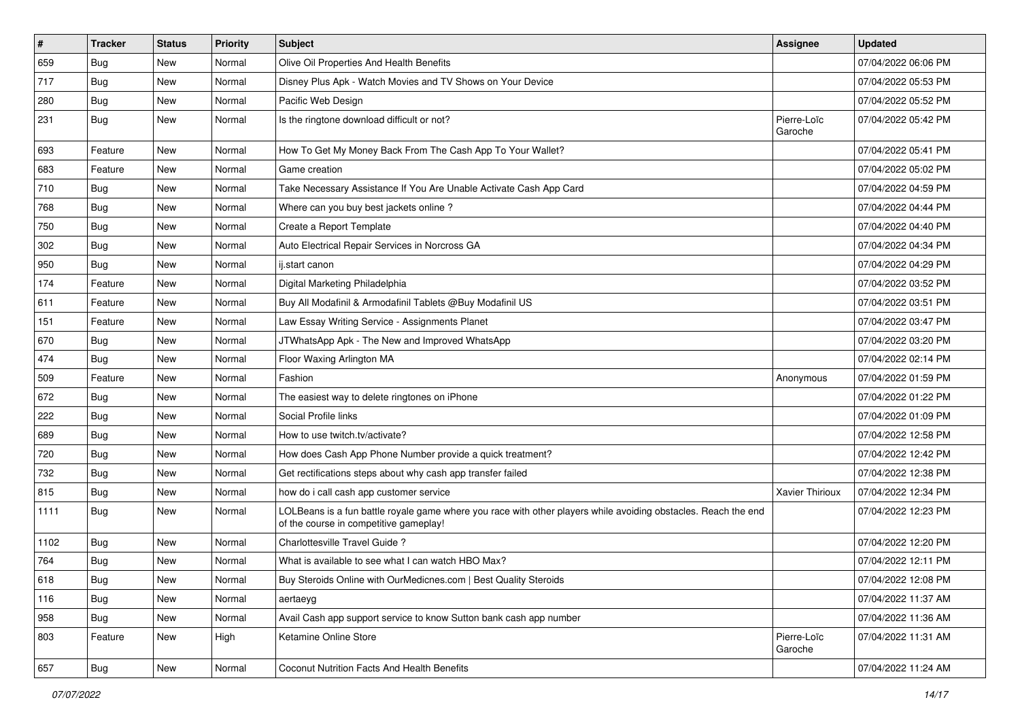| #    | <b>Tracker</b> | <b>Status</b> | <b>Priority</b> | <b>Subject</b>                                                                                                                                           | <b>Assignee</b>        | <b>Updated</b>      |
|------|----------------|---------------|-----------------|----------------------------------------------------------------------------------------------------------------------------------------------------------|------------------------|---------------------|
| 659  | <b>Bug</b>     | New           | Normal          | Olive Oil Properties And Health Benefits                                                                                                                 |                        | 07/04/2022 06:06 PM |
| 717  | <b>Bug</b>     | New           | Normal          | Disney Plus Apk - Watch Movies and TV Shows on Your Device                                                                                               |                        | 07/04/2022 05:53 PM |
| 280  | <b>Bug</b>     | New           | Normal          | Pacific Web Design                                                                                                                                       |                        | 07/04/2022 05:52 PM |
| 231  | <b>Bug</b>     | New           | Normal          | Is the ringtone download difficult or not?                                                                                                               | Pierre-Loïc<br>Garoche | 07/04/2022 05:42 PM |
| 693  | Feature        | <b>New</b>    | Normal          | How To Get My Money Back From The Cash App To Your Wallet?                                                                                               |                        | 07/04/2022 05:41 PM |
| 683  | Feature        | New           | Normal          | Game creation                                                                                                                                            |                        | 07/04/2022 05:02 PM |
| 710  | Bug            | New           | Normal          | Take Necessary Assistance If You Are Unable Activate Cash App Card                                                                                       |                        | 07/04/2022 04:59 PM |
| 768  | Bug            | New           | Normal          | Where can you buy best jackets online?                                                                                                                   |                        | 07/04/2022 04:44 PM |
| 750  | Bug            | New           | Normal          | Create a Report Template                                                                                                                                 |                        | 07/04/2022 04:40 PM |
| 302  | Bug            | New           | Normal          | Auto Electrical Repair Services in Norcross GA                                                                                                           |                        | 07/04/2022 04:34 PM |
| 950  | Bug            | New           | Normal          | ij.start canon                                                                                                                                           |                        | 07/04/2022 04:29 PM |
| 174  | Feature        | New           | Normal          | Digital Marketing Philadelphia                                                                                                                           |                        | 07/04/2022 03:52 PM |
| 611  | Feature        | New           | Normal          | Buy All Modafinil & Armodafinil Tablets @Buy Modafinil US                                                                                                |                        | 07/04/2022 03:51 PM |
| 151  | Feature        | New           | Normal          | Law Essay Writing Service - Assignments Planet                                                                                                           |                        | 07/04/2022 03:47 PM |
| 670  | Bug            | New           | Normal          | JTWhatsApp Apk - The New and Improved WhatsApp                                                                                                           |                        | 07/04/2022 03:20 PM |
| 474  | Bug            | New           | Normal          | Floor Waxing Arlington MA                                                                                                                                |                        | 07/04/2022 02:14 PM |
| 509  | Feature        | New           | Normal          | Fashion                                                                                                                                                  | Anonymous              | 07/04/2022 01:59 PM |
| 672  | <b>Bug</b>     | New           | Normal          | The easiest way to delete ringtones on iPhone                                                                                                            |                        | 07/04/2022 01:22 PM |
| 222  | Bug            | New           | Normal          | Social Profile links                                                                                                                                     |                        | 07/04/2022 01:09 PM |
| 689  | Bug            | New           | Normal          | How to use twitch.tv/activate?                                                                                                                           |                        | 07/04/2022 12:58 PM |
| 720  | <b>Bug</b>     | New           | Normal          | How does Cash App Phone Number provide a quick treatment?                                                                                                |                        | 07/04/2022 12:42 PM |
| 732  | Bug            | New           | Normal          | Get rectifications steps about why cash app transfer failed                                                                                              |                        | 07/04/2022 12:38 PM |
| 815  | <b>Bug</b>     | New           | Normal          | how do i call cash app customer service                                                                                                                  | Xavier Thirioux        | 07/04/2022 12:34 PM |
| 1111 | <b>Bug</b>     | New           | Normal          | LOLBeans is a fun battle royale game where you race with other players while avoiding obstacles. Reach the end<br>of the course in competitive gameplay! |                        | 07/04/2022 12:23 PM |
| 1102 | <b>Bug</b>     | New           | Normal          | Charlottesville Travel Guide ?                                                                                                                           |                        | 07/04/2022 12:20 PM |
| 764  | <b>Bug</b>     | New           | Normal          | What is available to see what I can watch HBO Max?                                                                                                       |                        | 07/04/2022 12:11 PM |
| 618  | Bug            | New           | Normal          | Buy Steroids Online with OurMedicnes.com   Best Quality Steroids                                                                                         |                        | 07/04/2022 12:08 PM |
| 116  | Bug            | New           | Normal          | aertaeyg                                                                                                                                                 |                        | 07/04/2022 11:37 AM |
| 958  | Bug            | New           | Normal          | Avail Cash app support service to know Sutton bank cash app number                                                                                       |                        | 07/04/2022 11:36 AM |
| 803  | Feature        | New           | High            | Ketamine Online Store                                                                                                                                    | Pierre-Loïc<br>Garoche | 07/04/2022 11:31 AM |
| 657  | <b>Bug</b>     | New           | Normal          | Coconut Nutrition Facts And Health Benefits                                                                                                              |                        | 07/04/2022 11:24 AM |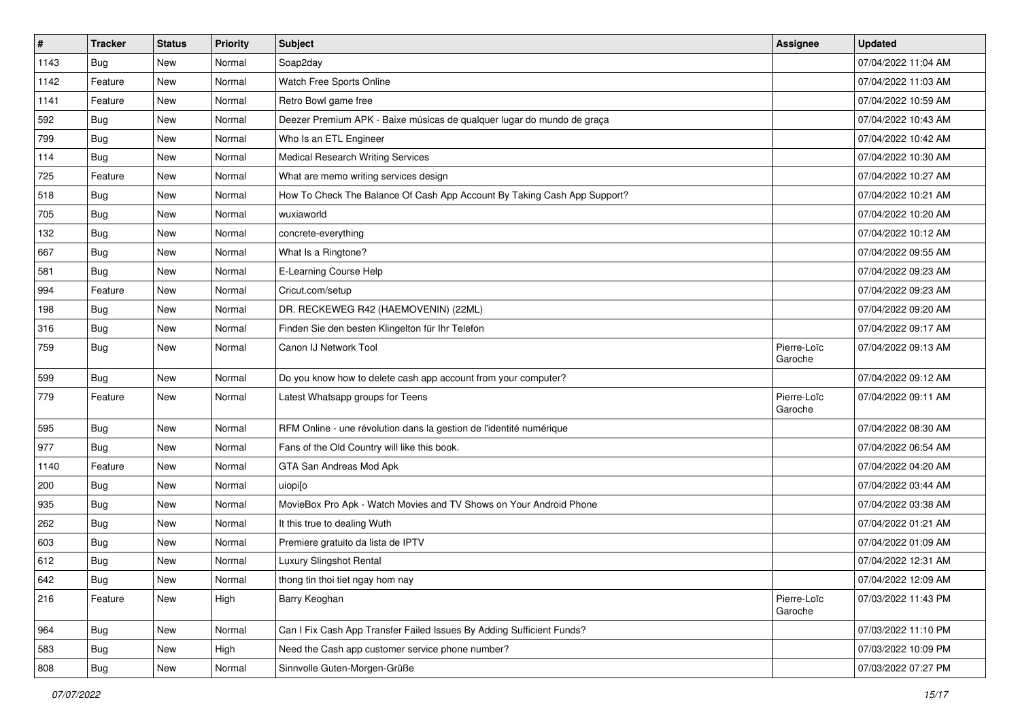| $\vert$ # | <b>Tracker</b> | <b>Status</b> | <b>Priority</b> | Subject                                                                  | <b>Assignee</b>        | <b>Updated</b>      |
|-----------|----------------|---------------|-----------------|--------------------------------------------------------------------------|------------------------|---------------------|
| 1143      | Bug            | New           | Normal          | Soap2day                                                                 |                        | 07/04/2022 11:04 AM |
| 1142      | Feature        | <b>New</b>    | Normal          | Watch Free Sports Online                                                 |                        | 07/04/2022 11:03 AM |
| 1141      | Feature        | New           | Normal          | Retro Bowl game free                                                     |                        | 07/04/2022 10:59 AM |
| 592       | <b>Bug</b>     | New           | Normal          | Deezer Premium APK - Baixe músicas de qualquer lugar do mundo de graça   |                        | 07/04/2022 10:43 AM |
| 799       | Bug            | New           | Normal          | Who Is an ETL Engineer                                                   |                        | 07/04/2022 10:42 AM |
| 114       | <b>Bug</b>     | New           | Normal          | <b>Medical Research Writing Services</b>                                 |                        | 07/04/2022 10:30 AM |
| 725       | Feature        | New           | Normal          | What are memo writing services design                                    |                        | 07/04/2022 10:27 AM |
| 518       | Bug            | New           | Normal          | How To Check The Balance Of Cash App Account By Taking Cash App Support? |                        | 07/04/2022 10:21 AM |
| 705       | <b>Bug</b>     | New           | Normal          | wuxiaworld                                                               |                        | 07/04/2022 10:20 AM |
| 132       | <b>Bug</b>     | New           | Normal          | concrete-everything                                                      |                        | 07/04/2022 10:12 AM |
| 667       | Bug            | New           | Normal          | What Is a Ringtone?                                                      |                        | 07/04/2022 09:55 AM |
| 581       | Bug            | New           | Normal          | E-Learning Course Help                                                   |                        | 07/04/2022 09:23 AM |
| 994       | Feature        | New           | Normal          | Cricut.com/setup                                                         |                        | 07/04/2022 09:23 AM |
| 198       | <b>Bug</b>     | New           | Normal          | DR. RECKEWEG R42 (HAEMOVENIN) (22ML)                                     |                        | 07/04/2022 09:20 AM |
| 316       | <b>Bug</b>     | New           | Normal          | Finden Sie den besten Klingelton für Ihr Telefon                         |                        | 07/04/2022 09:17 AM |
| 759       | <b>Bug</b>     | New           | Normal          | Canon IJ Network Tool                                                    | Pierre-Loïc<br>Garoche | 07/04/2022 09:13 AM |
| 599       | <b>Bug</b>     | New           | Normal          | Do you know how to delete cash app account from your computer?           |                        | 07/04/2022 09:12 AM |
| 779       | Feature        | New           | Normal          | Latest Whatsapp groups for Teens                                         | Pierre-Loïc<br>Garoche | 07/04/2022 09:11 AM |
| 595       | <b>Bug</b>     | <b>New</b>    | Normal          | RFM Online - une révolution dans la gestion de l'identité numérique      |                        | 07/04/2022 08:30 AM |
| 977       | Bug            | New           | Normal          | Fans of the Old Country will like this book.                             |                        | 07/04/2022 06:54 AM |
| 1140      | Feature        | New           | Normal          | GTA San Andreas Mod Apk                                                  |                        | 07/04/2022 04:20 AM |
| 200       | <b>Bug</b>     | New           | Normal          | uiopi[o                                                                  |                        | 07/04/2022 03:44 AM |
| 935       | <b>Bug</b>     | New           | Normal          | MovieBox Pro Apk - Watch Movies and TV Shows on Your Android Phone       |                        | 07/04/2022 03:38 AM |
| 262       | Bug            | New           | Normal          | It this true to dealing Wuth                                             |                        | 07/04/2022 01:21 AM |
| 603       | <b>Bug</b>     | New           | Normal          | Premiere gratuito da lista de IPTV                                       |                        | 07/04/2022 01:09 AM |
| 612       | Bug            | New           | Normal          | Luxury Slingshot Rental                                                  |                        | 07/04/2022 12:31 AM |
| 642       | Bug            | New           | Normal          | thong tin thoi tiet ngay hom nay                                         |                        | 07/04/2022 12:09 AM |
| 216       | Feature        | New           | High            | Barry Keoghan                                                            | Pierre-Loïc<br>Garoche | 07/03/2022 11:43 PM |
| 964       | <b>Bug</b>     | New           | Normal          | Can I Fix Cash App Transfer Failed Issues By Adding Sufficient Funds?    |                        | 07/03/2022 11:10 PM |
| 583       | <b>Bug</b>     | New           | High            | Need the Cash app customer service phone number?                         |                        | 07/03/2022 10:09 PM |
| 808       | Bug            | New           | Normal          | Sinnvolle Guten-Morgen-Grüße                                             |                        | 07/03/2022 07:27 PM |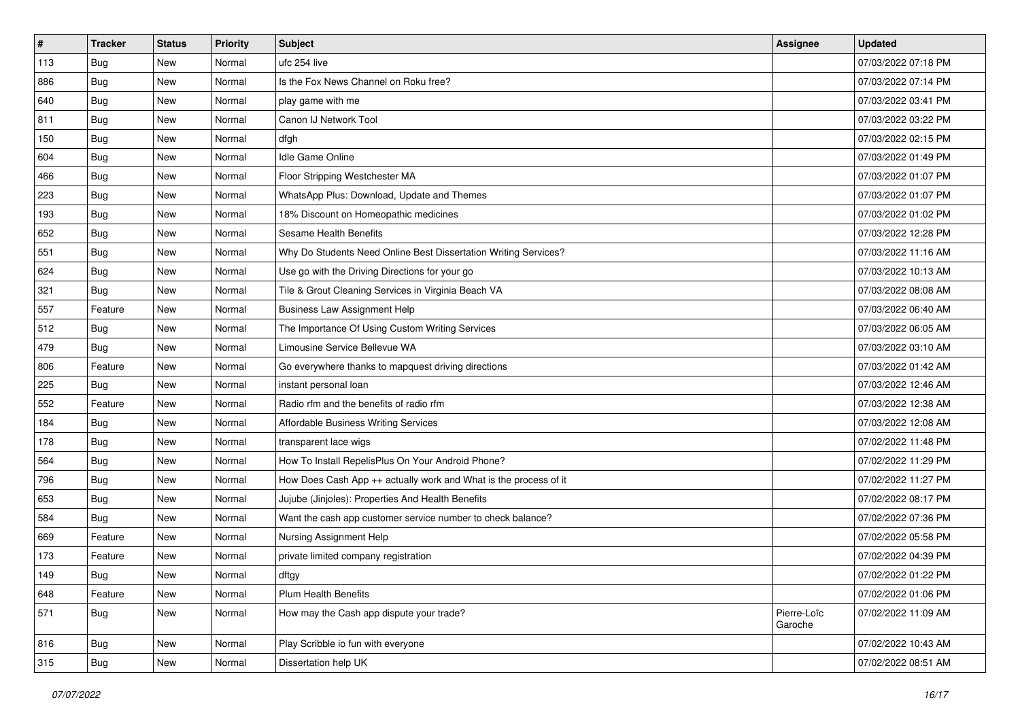| $\sharp$ | <b>Tracker</b> | <b>Status</b> | <b>Priority</b> | Subject                                                          | <b>Assignee</b>        | <b>Updated</b>      |
|----------|----------------|---------------|-----------------|------------------------------------------------------------------|------------------------|---------------------|
| 113      | <b>Bug</b>     | New           | Normal          | ufc 254 live                                                     |                        | 07/03/2022 07:18 PM |
| 886      | <b>Bug</b>     | New           | Normal          | Is the Fox News Channel on Roku free?                            |                        | 07/03/2022 07:14 PM |
| 640      | Bug            | New           | Normal          | play game with me                                                |                        | 07/03/2022 03:41 PM |
| 811      | Bug            | New           | Normal          | Canon IJ Network Tool                                            |                        | 07/03/2022 03:22 PM |
| 150      | Bug            | New           | Normal          | dfgh                                                             |                        | 07/03/2022 02:15 PM |
| 604      | <b>Bug</b>     | New           | Normal          | <b>Idle Game Online</b>                                          |                        | 07/03/2022 01:49 PM |
| 466      | Bug            | New           | Normal          | Floor Stripping Westchester MA                                   |                        | 07/03/2022 01:07 PM |
| 223      | <b>Bug</b>     | New           | Normal          | WhatsApp Plus: Download, Update and Themes                       |                        | 07/03/2022 01:07 PM |
| 193      | Bug            | New           | Normal          | 18% Discount on Homeopathic medicines                            |                        | 07/03/2022 01:02 PM |
| 652      | Bug            | New           | Normal          | Sesame Health Benefits                                           |                        | 07/03/2022 12:28 PM |
| 551      | <b>Bug</b>     | New           | Normal          | Why Do Students Need Online Best Dissertation Writing Services?  |                        | 07/03/2022 11:16 AM |
| 624      | <b>Bug</b>     | New           | Normal          | Use go with the Driving Directions for your go                   |                        | 07/03/2022 10:13 AM |
| 321      | <b>Bug</b>     | New           | Normal          | Tile & Grout Cleaning Services in Virginia Beach VA              |                        | 07/03/2022 08:08 AM |
| 557      | Feature        | New           | Normal          | <b>Business Law Assignment Help</b>                              |                        | 07/03/2022 06:40 AM |
| 512      | <b>Bug</b>     | New           | Normal          | The Importance Of Using Custom Writing Services                  |                        | 07/03/2022 06:05 AM |
| 479      | Bug            | New           | Normal          | Limousine Service Bellevue WA                                    |                        | 07/03/2022 03:10 AM |
| 806      | Feature        | New           | Normal          | Go everywhere thanks to mapquest driving directions              |                        | 07/03/2022 01:42 AM |
| 225      | <b>Bug</b>     | New           | Normal          | instant personal loan                                            |                        | 07/03/2022 12:46 AM |
| 552      | Feature        | New           | Normal          | Radio rfm and the benefits of radio rfm                          |                        | 07/03/2022 12:38 AM |
| 184      | Bug            | New           | Normal          | Affordable Business Writing Services                             |                        | 07/03/2022 12:08 AM |
| 178      | Bug            | New           | Normal          | transparent lace wigs                                            |                        | 07/02/2022 11:48 PM |
| 564      | Bug            | <b>New</b>    | Normal          | How To Install RepelisPlus On Your Android Phone?                |                        | 07/02/2022 11:29 PM |
| 796      | Bug            | New           | Normal          | How Does Cash App ++ actually work and What is the process of it |                        | 07/02/2022 11:27 PM |
| 653      | <b>Bug</b>     | New           | Normal          | Jujube (Jinjoles): Properties And Health Benefits                |                        | 07/02/2022 08:17 PM |
| 584      | Bug            | New           | Normal          | Want the cash app customer service number to check balance?      |                        | 07/02/2022 07:36 PM |
| 669      | Feature        | New           | Normal          | Nursing Assignment Help                                          |                        | 07/02/2022 05:58 PM |
| 173      | Feature        | New           | Normal          | private limited company registration                             |                        | 07/02/2022 04:39 PM |
| 149      | i Bug          | New           | Normal          | dftgy                                                            |                        | 07/02/2022 01:22 PM |
| 648      | Feature        | New           | Normal          | Plum Health Benefits                                             |                        | 07/02/2022 01:06 PM |
| 571      | <b>Bug</b>     | New           | Normal          | How may the Cash app dispute your trade?                         | Pierre-Loïc<br>Garoche | 07/02/2022 11:09 AM |
| 816      | <b>Bug</b>     | New           | Normal          | Play Scribble io fun with everyone                               |                        | 07/02/2022 10:43 AM |
| 315      | <b>Bug</b>     | New           | Normal          | Dissertation help UK                                             |                        | 07/02/2022 08:51 AM |